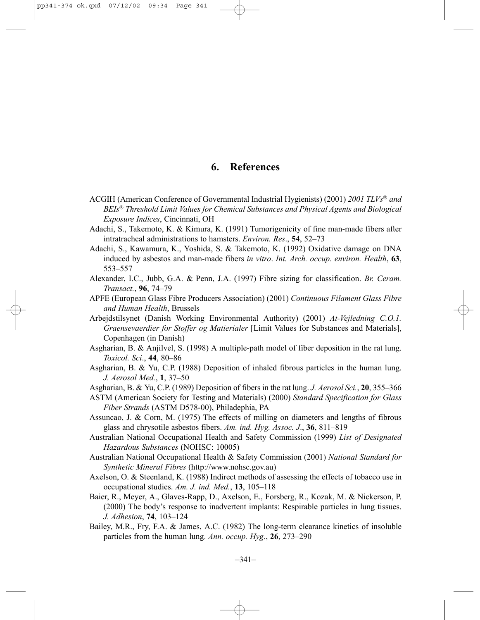# **6. References**

- ACGIH (American Conference of Governmental Industrial Hygienists) (2001) *2001 TLVs and BEIs Threshold Limit Values for Chemical Substances and Physical Agents and Biological Exposure Indices*, Cincinnati, OH
- Adachi, S., Takemoto, K. & Kimura, K. (1991) Tumorigenicity of fine man-made fibers after intratracheal administrations to hamsters. *Environ. Res*., **54**, 52–73
- Adachi, S., Kawamura, K., Yoshida, S. & Takemoto, K. (1992) Oxidative damage on DNA induced by asbestos and man-made fibers *in vitro*. *Int. Arch. occup. environ. Health*, **63**, 553–557
- Alexander, I.C., Jubb, G.A. & Penn, J.A. (1997) Fibre sizing for classification. *Br. Ceram. Transact.*, **96**, 74–79
- APFE (European Glass Fibre Producers Association) (2001) *Continuous Filament Glass Fibre and Human Health*, Brussels
- Arbejdstilsynet (Danish Working Environmental Authority) (2001) *At-Vejledning C.O.1. Graensevaerdier for Stoffer og Matierialer* [Limit Values for Substances and Materials], Copenhagen (in Danish)
- Asgharian, B. & Anjilvel, S. (1998) A multiple-path model of fiber deposition in the rat lung. *Toxicol. Sci*., **44**, 80–86
- Asgharian, B. & Yu, C.P. (1988) Deposition of inhaled fibrous particles in the human lung. *J. Aerosol Med.*, **1**, 37–50
- Asgharian, B. & Yu, C.P. (1989) Deposition of fibers in the rat lung. *J. Aerosol Sci.*, **20**, 355–366
- ASTM (American Society for Testing and Materials) (2000) *Standard Specification for Glass Fiber Strands* (ASTM D578-00), Philadephia, PA
- Assuncao, J. & Corn, M. (1975) The effects of milling on diameters and lengths of fibrous glass and chrysotile asbestos fibers. *Am. ind. Hyg. Assoc. J*., **36**, 811–819
- Australian National Occupational Health and Safety Commission (1999) *List of Designated Hazardous Substances* (NOHSC: 10005)
- Australian National Occupational Health & Safety Commission (2001) *National Standard for Synthetic Mineral Fibres* (http://www.nohsc.gov.au)
- Axelson, O. & Steenland, K. (1988) Indirect methods of assessing the effects of tobacco use in occupational studies. *Am. J. ind. Med.*, **13**, 105–118
- Baier, R., Meyer, A., Glaves-Rapp, D., Axelson, E., Forsberg, R., Kozak, M. & Nickerson, P. (2000) The body's response to inadvertent implants: Respirable particles in lung tissues. *J. Adhesion*, **74**, 103–124
- Bailey, M.R., Fry, F.A. & James, A.C. (1982) The long-term clearance kinetics of insoluble particles from the human lung. *Ann. occup. Hyg*., **26**, 273–290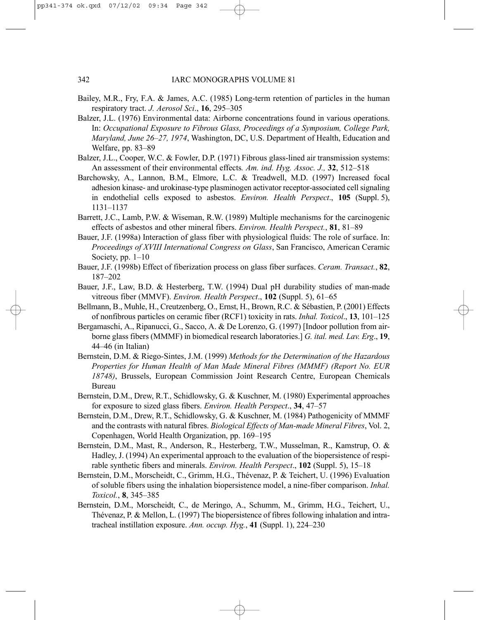- Bailey, M.R., Fry, F.A. & James, A.C. (1985) Long-term retention of particles in the human respiratory tract. *J. Aerosol Sci*., **16**, 295–305
- Balzer, J.L. (1976) Environmental data: Airborne concentrations found in various operations. In: *Occupational Exposure to Fibrous Glass, Proceedings of a Symposium, College Park, Maryland, June 26–27, 1974*, Washington, DC, U.S. Department of Health, Education and Welfare, pp. 83–89
- Balzer, J.L., Cooper, W.C. & Fowler, D.P. (1971) Fibrous glass-lined air transmission systems: An assessment of their environmental effects*. Am. ind. Hyg. Assoc. J.,* **32**, 512–518
- Barchowsky, A., Lannon, B.M., Elmore, L.C. & Treadwell, M.D. (1997) Increased focal adhesion kinase- and urokinase-type plasminogen activator receptor-associated cell signaling in endothelial cells exposed to asbestos. *Environ. Health Perspect*., **105** (Suppl. 5), 1131–1137
- Barrett, J.C., Lamb, P.W. & Wiseman, R.W. (1989) Multiple mechanisms for the carcinogenic effects of asbestos and other mineral fibers. *Environ. Health Perspect.*, **81**, 81–89
- Bauer, J.F. (1998a) Interaction of glass fiber with physiological fluids: The role of surface. In: *Proceedings of XVIII International Congress on Glass*, San Francisco, American Ceramic Society, pp. 1–10
- Bauer, J.F. (1998b) Effect of fiberization process on glass fiber surfaces. *Ceram. Transact.*, **82**, 187–202
- Bauer, J.F., Law, B.D. & Hesterberg, T.W. (1994) Dual pH durability studies of man-made vitreous fiber (MMVF). *Environ. Health Perspect*., **102** (Suppl. 5), 61–65
- Bellmann, B., Muhle, H., Creutzenberg, O., Ernst, H., Brown, R.C. & Sébastien, P. (2001) Effects of nonfibrous particles on ceramic fiber (RCF1) toxicity in rats. *Inhal. Toxicol*., **13**, 101–125
- Bergamaschi, A., Ripanucci, G., Sacco, A. & De Lorenzo, G. (1997) [Indoor pollution from airborne glass fibers (MMMF) in biomedical research laboratories.] *G. ital. med. Lav. Erg*., **19**, 44–46 (in Italian)
- Bernstein, D.M. & Riego-Sintes, J.M. (1999) *Methods for the Determination of the Hazardous Properties for Human Health of Man Made Mineral Fibres (MMMF) (Report No. EUR 18748)*, Brussels, European Commission Joint Research Centre, European Chemicals Bureau
- Bernstein, D.M., Drew, R.T., Schidlowsky, G. & Kuschner, M. (1980) Experimental approaches for exposure to sized glass fibers. *Environ. Health Perspect*., **34**, 47–57
- Bernstein, D.M., Drew, R.T., Schidlowsky, G. & Kuschner, M. (1984) Pathogenicity of MMMF and the contrasts with natural fibres. *Biological Effects of Man-made Mineral Fibres*, Vol. 2, Copenhagen, World Health Organization, pp. 169–195
- Bernstein, D.M., Mast, R., Anderson, R., Hesterberg, T.W., Musselman, R., Kamstrup, O. & Hadley, J. (1994) An experimental approach to the evaluation of the biopersistence of respirable synthetic fibers and minerals. *Environ. Health Perspect*., **102** (Suppl. 5), 15–18
- Bernstein, D.M., Morscheidt, C., Grimm, H.G., Thévenaz, P. & Teichert, U. (1996) Evaluation of soluble fibers using the inhalation biopersistence model, a nine-fiber comparison. *Inhal. Toxicol.*, **8**, 345–385
- Bernstein, D.M., Morscheidt, C., de Meringo, A., Schumm, M., Grimm, H.G., Teichert, U., Thévenaz, P. & Mellon, L. (1997) The biopersistence of fibres following inhalation and intratracheal instillation exposure. *Ann. occup. Hyg.*, **41** (Suppl. 1), 224–230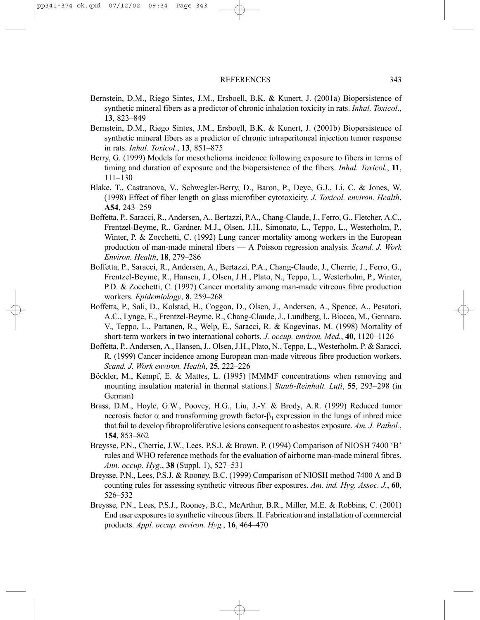- Bernstein, D.M., Riego Sintes, J.M., Ersboell, B.K. & Kunert, J. (2001a) Biopersistence of synthetic mineral fibers as a predictor of chronic inhalation toxicity in rats. *Inhal. Toxicol*., **13**, 823–849
- Bernstein, D.M., Riego Sintes, J.M., Ersboell, B.K. & Kunert, J. (2001b) Biopersistence of synthetic mineral fibers as a predictor of chronic intraperitoneal injection tumor response in rats. *Inhal. Toxicol*., **13**, 851–875
- Berry, G. (1999) Models for mesothelioma incidence following exposure to fibers in terms of timing and duration of exposure and the biopersistence of the fibers. *Inhal. Toxicol.*, **11**, 111–130
- Blake, T., Castranova, V., Schwegler-Berry, D., Baron, P., Deye, G.J., Li, C. & Jones, W. (1998) Effect of fiber length on glass microfiber cytotoxicity. *J. Toxicol. environ. Health*, **A54**, 243–259
- Boffetta, P., Saracci, R., Andersen, A., Bertazzi, P.A., Chang-Claude, J., Ferro, G., Fletcher, A.C., Frentzel-Beyme, R., Gardner, M.J., Olsen, J.H., Simonato, L., Teppo, L., Westerholm, P., Winter, P. & Zocchetti, C. (1992) Lung cancer mortality among workers in the European production of man-made mineral fibers — A Poisson regression analysis. *Scand. J. Work Environ. Health*, **18**, 279–286
- Boffetta, P., Saracci, R., Andersen, A., Bertazzi, P.A., Chang-Claude, J., Cherrie, J., Ferro, G., Frentzel-Beyme, R., Hansen, J., Olsen, J.H., Plato, N., Teppo, L., Westerholm, P., Winter, P.D. & Zocchetti, C. (1997) Cancer mortality among man-made vitreous fibre production workers. *Epidemiology*, **8**, 259–268
- Boffetta, P., Sali, D., Kolstad, H., Coggon, D., Olsen, J., Andersen, A., Spence, A., Pesatori, A.C., Lynge, E., Frentzel-Beyme, R., Chang-Claude, J., Lundberg, I., Biocca, M., Gennaro, V., Teppo, L., Partanen, R., Welp, E., Saracci, R. & Kogevinas, M. (1998) Mortality of short-term workers in two international cohorts. *J. occup. environ. Med.*, **40**, 1120–1126
- Boffetta, P., Andersen, A., Hansen, J., Olsen, J.H., Plato, N., Teppo, L., Westerholm, P. & Saracci, R. (1999) Cancer incidence among European man-made vitreous fibre production workers. *Scand. J. Work environ. Health*, **25**, 222–226
- Böckler, M., Kempf, E. & Mattes, L. (1995) [MMMF concentrations when removing and mounting insulation material in thermal stations.] *Staub-Reinhalt. Luft*, **55**, 293–298 (in German)
- Brass, D.M., Hoyle, G.W., Poovey, H.G., Liu, J.-Y. & Brody, A.R. (1999) Reduced tumor necrosis factor α and transforming growth factor- $β_1$  expression in the lungs of inbred mice that fail to develop fibroproliferative lesions consequent to asbestos exposure. *Am. J. Pathol.*, **154**, 853–862
- Breysse, P.N., Cherrie, J.W., Lees, P.S.J. & Brown, P. (1994) Comparison of NIOSH 7400 'B' rules and WHO reference methods for the evaluation of airborne man-made mineral fibres. *Ann. occup. Hyg*., **38** (Suppl. 1), 527–531
- Breysse, P.N., Lees, P.S.J. & Rooney, B.C. (1999) Comparison of NIOSH method 7400 A and B counting rules for assessing synthetic vitreous fiber exposures. *Am. ind. Hyg. Assoc. J.*, **60**, 526–532
- Breysse, P.N., Lees, P.S.J., Rooney, B.C., McArthur, B.R., Miller, M.E. & Robbins, C. (2001) End user exposures to synthetic vitreous fibers. II. Fabrication and installation of commercial products. *Appl. occup. environ. Hyg.*, **16**, 464–470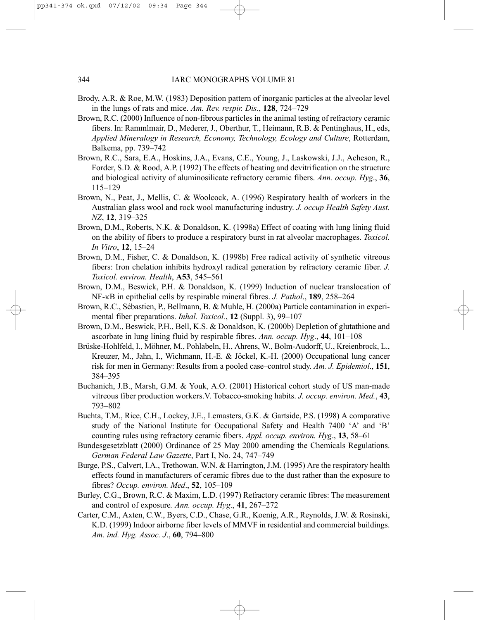- Brody, A.R. & Roe, M.W. (1983) Deposition pattern of inorganic particles at the alveolar level in the lungs of rats and mice. *Am. Rev. respir. Dis*., **128**, 724–729
- Brown, R.C. (2000) Influence of non-fibrous particles in the animal testing of refractory ceramic fibers. In: Rammlmair, D., Mederer, J., Oberthur, T., Heimann, R.B. & Pentinghaus, H., eds, *Applied Mineralogy in Research, Economy, Technology, Ecology and Culture*, Rotterdam, Balkema, pp. 739–742
- Brown, R.C., Sara, E.A., Hoskins, J.A., Evans, C.E., Young, J., Laskowski, J.J., Acheson, R., Forder, S.D. & Rood, A.P. (1992) The effects of heating and devitrification on the structure and biological activity of aluminosilicate refractory ceramic fibers. *Ann. occup. Hyg*., **36**, 115–129
- Brown, N., Peat, J., Mellis, C. & Woolcock, A. (1996) Respiratory health of workers in the Australian glass wool and rock wool manufacturing industry. *J. occup Health Safety Aust. NZ*, **12**, 319–325
- Brown, D.M., Roberts, N.K. & Donaldson, K. (1998a) Effect of coating with lung lining fluid on the ability of fibers to produce a respiratory burst in rat alveolar macrophages. *Toxicol. In Vitro*, **12**, 15–24
- Brown, D.M., Fisher, C. & Donaldson, K. (1998b) Free radical activity of synthetic vitreous fibers: Iron chelation inhibits hydroxyl radical generation by refractory ceramic fiber. *J. Toxicol. environ. Health*, **A53**, 545–561
- Brown, D.M., Beswick, P.H. & Donaldson, K. (1999) Induction of nuclear translocation of NF-κB in epithelial cells by respirable mineral fibres. *J. Pathol*., **189**, 258–264
- Brown, R.C., Sébastien, P., Bellmann, B. & Muhle, H. (2000a) Particle contamination in experimental fiber preparations. *Inhal. Toxicol.*, **12** (Suppl. 3), 99–107
- Brown, D.M., Beswick, P.H., Bell, K.S. & Donaldson, K. (2000b) Depletion of glutathione and ascorbate in lung lining fluid by respirable fibres. *Ann. occup. Hyg*., **44**, 101–108
- Brüske-Hohlfeld, I., Möhner, M., Pohlabeln, H., Ahrens, W., Bolm-Audorff, U., Kreienbrock, L., Kreuzer, M., Jahn, I., Wichmann, H.-E. & Jöckel, K.-H. (2000) Occupational lung cancer risk for men in Germany: Results from a pooled case–control study. *Am. J. Epidemiol*., **151**, 384–395
- Buchanich, J.B., Marsh, G.M. & Youk, A.O. (2001) Historical cohort study of US man-made vitreous fiber production workers.V. Tobacco-smoking habits. *J. occup. environ. Med.*, **43**, 793–802
- Buchta, T.M., Rice, C.H., Lockey, J.E., Lemasters, G.K. & Gartside, P.S. (1998) A comparative study of the National Institute for Occupational Safety and Health 7400 'A' and 'B' counting rules using refractory ceramic fibers. *Appl. occup. environ. Hyg*., **13**, 58–61
- Bundesgesetzblatt (2000) Ordinance of 25 May 2000 amending the Chemicals Regulations. *German Federal Law Gazette*, Part I, No. 24, 747–749
- Burge, P.S., Calvert, I.A., Trethowan, W.N. & Harrington, J.M. (1995) Are the respiratory health effects found in manufacturers of ceramic fibres due to the dust rather than the exposure to fibres? *Occup. environ. Med*., **52**, 105–109
- Burley, C.G., Brown, R.C. & Maxim, L.D. (1997) Refractory ceramic fibres: The measurement and control of exposure*. Ann. occup. Hyg*., **41**, 267–272
- Carter, C.M., Axten, C.W., Byers, C.D., Chase, G.R., Koenig, A.R., Reynolds, J.W. & Rosinski, K.D. (1999) Indoor airborne fiber levels of MMVF in residential and commercial buildings. *Am. ind. Hyg. Assoc. J*., **60**, 794–800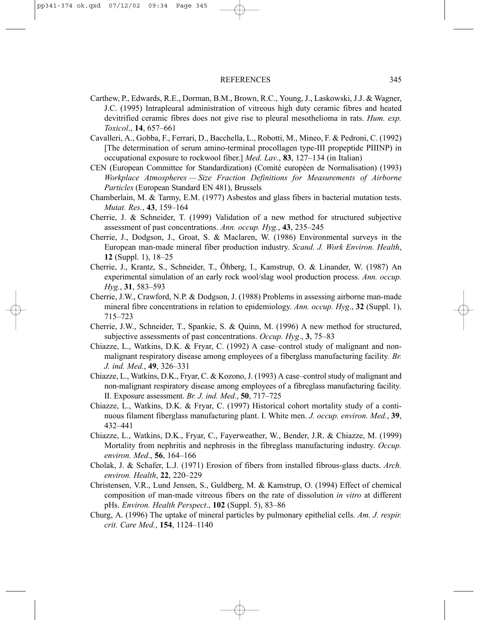- Carthew, P., Edwards, R.E., Dorman, B.M., Brown, R.C., Young, J., Laskowski, J.J. & Wagner, J.C. (1995) Intrapleural administration of vitreous high duty ceramic fibres and heated devitrified ceramic fibres does not give rise to pleural mesothelioma in rats. *Hum. exp. Toxicol*., **14**, 657–661
- Cavalleri, A., Gobba, F., Ferrari, D., Bacchella, L., Robotti, M., Mineo, F. & Pedroni, C. (1992) [The determination of serum amino-terminal procollagen type-III propeptide PIIINP) in occupational exposure to rockwool fiber.] *Med. Lav*., **83**, 127–134 (in Italian)
- CEN (European Committee for Standardization) (Comité européen de Normalisation) (1993) *Workplace Atmospheres — Size Fraction Definitions for Measurements of Airborne Particles* (European Standard EN 481), Brussels
- Chamberlain, M. & Tarmy, E.M. (1977) Asbestos and glass fibers in bacterial mutation tests. *Mutat. Res.*, **43**, 159–164
- Cherrie, J. & Schneider, T. (1999) Validation of a new method for structured subjective assessment of past concentrations. *Ann. occup. Hyg.*, **43**, 235–245
- Cherrie, J., Dodgson, J., Groat, S. & Maclaren, W. (1986) Environmental surveys in the European man-made mineral fiber production industry. *Scand. J. Work Environ. Health*, **12** (Suppl. 1), 18–25
- Cherrie, J., Krantz, S., Schneider, T., Öhberg, I., Kamstrup, O. & Linander, W. (1987) An experimental simulation of an early rock wool/slag wool production process. *Ann. occup. Hyg.*, **31**, 583–593
- Cherrie, J.W., Crawford, N.P. & Dodgson, J. (1988) Problems in assessing airborne man-made mineral fibre concentrations in relation to epidemiology. *Ann. occup. Hyg*., **32** (Suppl. 1), 715–723
- Cherrie, J.W., Schneider, T., Spankie, S. & Quinn, M. (1996) A new method for structured, subjective assessments of past concentrations. *Occup. Hyg*., **3**, 75–83
- Chiazze, L., Watkins, D.K. & Fryar, C. (1992) A case–control study of malignant and nonmalignant respiratory disease among employees of a fiberglass manufacturing facility*. Br. J. ind. Med.*, **49**, 326–331
- Chiazze, L., Watkins, D.K., Fryar, C. & Kozono, J. (1993) A case–control study of malignant and non-malignant respiratory disease among employees of a fibreglass manufacturing facility*.* II. Exposure assessment. *Br. J. ind. Med.*, **50**, 717–725
- Chiazze, L., Watkins, D.K. & Fryar, C. (1997) Historical cohort mortality study of a continuous filament fiberglass manufacturing plant. I. White men. *J. occup. environ. Med.*, **39**, 432–441
- Chiazze, L., Watkins, D.K., Fryar, C., Fayerweather, W., Bender, J.R. & Chiazze, M. (1999) Mortality from nephritis and nephrosis in the fibreglass manufacturing industry. *Occup. environ. Med*., **56**, 164–166
- Cholak, J. & Schafer, L.J. (1971) Erosion of fibers from installed fibrous-glass ducts. *Arch. environ. Health*, **22**, 220–229
- Christensen, V.R., Lund Jensen, S., Guldberg, M. & Kamstrup, O. (1994) Effect of chemical composition of man-made vitreous fibers on the rate of dissolution *in vitro* at different pHs. *Environ. Health Perspect*., **102** (Suppl. 5), 83–86
- Churg, A. (1996) The uptake of mineral particles by pulmonary epithelial cells. *Am. J. respir. crit. Care Med.*, **154**, 1124–1140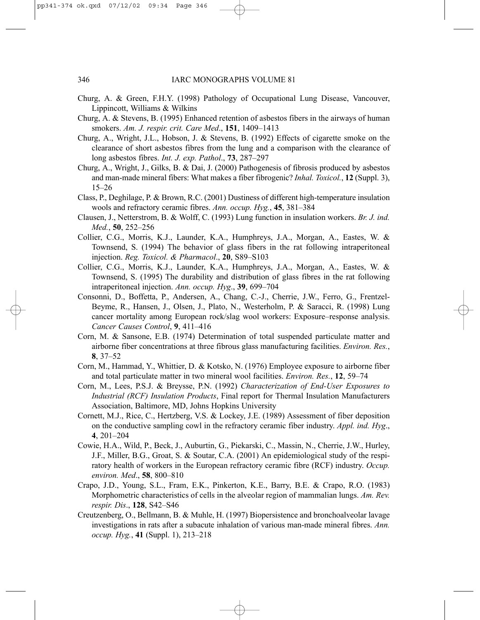- Churg, A. & Green, F.H.Y. (1998) Pathology of Occupational Lung Disease, Vancouver, Lippincott, Williams & Wilkins
- Churg, A. & Stevens, B. (1995) Enhanced retention of asbestos fibers in the airways of human smokers. *Am. J. respir. crit. Care Med*., **151**, 1409–1413
- Churg, A., Wright, J.L., Hobson, J. & Stevens, B. (1992) Effects of cigarette smoke on the clearance of short asbestos fibres from the lung and a comparison with the clearance of long asbestos fibres. *Int. J. exp. Pathol*., **73**, 287–297
- Churg, A., Wright, J., Gilks, B. & Dai, J. (2000) Pathogenesis of fibrosis produced by asbestos and man-made mineral fibers: What makes a fiber fibrogenic? *Inhal. Toxicol.*, **12** (Suppl. 3), 15–26
- Class, P., Deghilage, P. & Brown, R.C. (2001) Dustiness of different high-temperature insulation wools and refractory ceramic fibres. *Ann. occup. Hyg.*, **45**, 381–384
- Clausen, J., Netterstrom, B. & Wolff, C. (1993) Lung function in insulation workers. *Br. J. ind. Med.*, **50**, 252–256
- Collier, C.G., Morris, K.J., Launder, K.A., Humphreys, J.A., Morgan, A., Eastes, W. & Townsend, S. (1994) The behavior of glass fibers in the rat following intraperitoneal injection. *Reg. Toxicol. & Pharmacol*., **20**, S89–S103
- Collier, C.G., Morris, K.J., Launder, K.A., Humphreys, J.A., Morgan, A., Eastes, W. & Townsend, S. (1995) The durability and distribution of glass fibres in the rat following intraperitoneal injection. *Ann. occup. Hyg*., **39**, 699–704
- Consonni, D., Boffetta, P., Andersen, A., Chang, C.-J., Cherrie, J.W., Ferro, G., Frentzel-Beyme, R., Hansen, J., Olsen, J., Plato, N., Westerholm, P. & Saracci, R. (1998) Lung cancer mortality among European rock/slag wool workers: Exposure–response analysis. *Cancer Causes Control*, **9**, 411–416
- Corn, M. & Sansone, E.B. (1974) Determination of total suspended particulate matter and airborne fiber concentrations at three fibrous glass manufacturing facilities. *Environ. Res.*, **8**, 37–52
- Corn, M., Hammad, Y., Whittier, D. & Kotsko, N. (1976) Employee exposure to airborne fiber and total particulate matter in two mineral wool facilities. *Environ. Res.*, **12**, 59–74
- Corn, M., Lees, P.S.J. & Breysse, P.N. (1992) *Characterization of End-User Exposures to Industrial (RCF) Insulation Products*, Final report for Thermal Insulation Manufacturers Association, Baltimore, MD, Johns Hopkins University
- Cornett, M.J., Rice, C., Hertzberg, V.S. & Lockey, J.E. (1989) Assessment of fiber deposition on the conductive sampling cowl in the refractory ceramic fiber industry. *Appl. ind. Hyg*., **4**, 201–204
- Cowie, H.A., Wild, P., Beck, J., Auburtin, G., Piekarski, C., Massin, N., Cherrie, J.W., Hurley, J.F., Miller, B.G., Groat, S. & Soutar, C.A. (2001) An epidemiological study of the respiratory health of workers in the European refractory ceramic fibre (RCF) industry. *Occup. environ. Med*., **58**, 800–810
- Crapo, J.D., Young, S.L., Fram, E.K., Pinkerton, K.E., Barry, B.E. & Crapo, R.O. (1983) Morphometric characteristics of cells in the alveolar region of mammalian lungs. *Am. Rev. respir. Dis*., **128**, S42–S46
- Creutzenberg, O., Bellmann, B. & Muhle, H. (1997) Biopersistence and bronchoalveolar lavage investigations in rats after a subacute inhalation of various man-made mineral fibres. *Ann. occup. Hyg.*, **41** (Suppl. 1), 213–218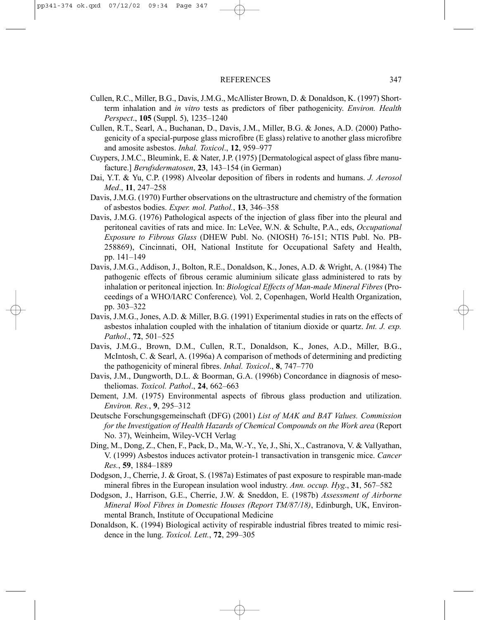- Cullen, R.C., Miller, B.G., Davis, J.M.G., McAllister Brown, D. & Donaldson, K. (1997) Shortterm inhalation and *in vitro* tests as predictors of fiber pathogenicity. *Environ. Health Perspect*., **105** (Suppl. 5), 1235–1240
- Cullen, R.T., Searl, A., Buchanan, D., Davis, J.M., Miller, B.G. & Jones, A.D. (2000) Pathogenicity of a special-purpose glass microfibre (E glass) relative to another glass microfibre and amosite asbestos. *Inhal. Toxicol*., **12**, 959–977
- Cuypers, J.M.C., Bleumink, E. & Nater, J.P. (1975) [Dermatological aspect of glass fibre manufacture.] *Berufsdermatosen*, **23**, 143–154 (in German)
- Dai, Y.T. & Yu, C.P. (1998) Alveolar deposition of fibers in rodents and humans. *J. Aerosol Med*., **11**, 247–258
- Davis, J.M.G. (1970) Further observations on the ultrastructure and chemistry of the formation of asbestos bodies. *Exper. mol. Pathol.*, **13**, 346–358
- Davis, J.M.G. (1976) Pathological aspects of the injection of glass fiber into the pleural and peritoneal cavities of rats and mice. In: LeVee, W.N. & Schulte, P.A., eds, *Occupational Exposure to Fibrous Glass* (DHEW Publ. No. (NIOSH) 76-151; NTIS Publ. No. PB-258869), Cincinnati, OH, National Institute for Occupational Safety and Health, pp. 141–149
- Davis, J.M.G., Addison, J., Bolton, R.E., Donaldson, K., Jones, A.D. & Wright, A. (1984) The pathogenic effects of fibrous ceramic aluminium silicate glass administered to rats by inhalation or peritoneal injection*.* In: *Biological Effects of Man-made Mineral Fibres* (Proceedings of a WHO/IARC Conference)*,* Vol. 2, Copenhagen, World Health Organization, pp. 303–322
- Davis, J.M.G., Jones, A.D. & Miller, B.G. (1991) Experimental studies in rats on the effects of asbestos inhalation coupled with the inhalation of titanium dioxide or quartz. *Int. J. exp. Pathol*., **72**, 501–525
- Davis, J.M.G., Brown, D.M., Cullen, R.T., Donaldson, K., Jones, A.D., Miller, B.G., McIntosh, C. & Searl, A. (1996a) A comparison of methods of determining and predicting the pathogenicity of mineral fibres. *Inhal. Toxicol*., **8**, 747–770
- Davis, J.M., Dungworth, D.L. & Boorman, G.A. (1996b) Concordance in diagnosis of mesotheliomas. *Toxicol. Pathol*., **24**, 662–663
- Dement, J.M. (1975) Environmental aspects of fibrous glass production and utilization. *Environ. Res.*, **9**, 295–312
- Deutsche Forschungsgemeinschaft (DFG) (2001) *List of MAK and BAT Values. Commission for the Investigation of Health Hazards of Chemical Compounds on the Work area* (Report No. 37), Weinheim, Wiley-VCH Verlag
- Ding, M., Dong, Z., Chen, F., Pack, D., Ma, W.-Y., Ye, J., Shi, X., Castranova, V. & Vallyathan, V. (1999) Asbestos induces activator protein-1 transactivation in transgenic mice. *Cancer Res.*, **59**, 1884–1889
- Dodgson, J., Cherrie, J. & Groat, S. (1987a) Estimates of past exposure to respirable man-made mineral fibres in the European insulation wool industry. *Ann. occup. Hyg*., **31**, 567–582
- Dodgson, J., Harrison, G.E., Cherrie, J.W. & Sneddon, E. (1987b) *Assessment of Airborne Mineral Wool Fibres in Domestic Houses (Report TM/87/18)*, Edinburgh, UK, Environmental Branch, Institute of Occupational Medicine
- Donaldson, K. (1994) Biological activity of respirable industrial fibres treated to mimic residence in the lung. *Toxicol. Lett.*, **72**, 299–305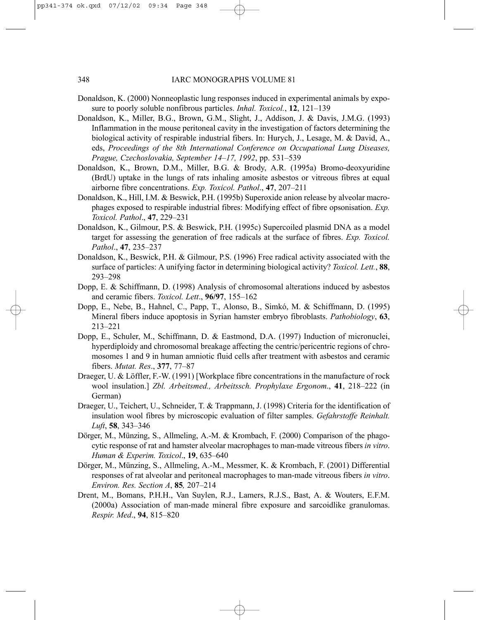- Donaldson, K. (2000) Nonneoplastic lung responses induced in experimental animals by exposure to poorly soluble nonfibrous particles. *Inhal. Toxicol.*, **12**, 121–139
- Donaldson, K., Miller, B.G., Brown, G.M., Slight, J., Addison, J. & Davis, J.M.G. (1993) Inflammation in the mouse peritoneal cavity in the investigation of factors determining the biological activity of respirable industrial fibers. In: Hurych, J., Lesage, M. & David, A., eds, *Proceedings of the 8th International Conference on Occupational Lung Diseases, Prague, Czechoslovakia, September 14–17, 1992*, pp. 531–539
- Donaldson, K., Brown, D.M., Miller, B.G. & Brody, A.R. (1995a) Bromo-deoxyuridine (BrdU) uptake in the lungs of rats inhaling amosite asbestos or vitreous fibres at equal airborne fibre concentrations. *Exp. Toxicol. Pathol*., **47**, 207–211
- Donaldson, K., Hill, I.M. & Beswick, P.H. (1995b) Superoxide anion release by alveolar macrophages exposed to respirable industrial fibres: Modifying effect of fibre opsonisation. *Exp. Toxicol. Pathol*., **47**, 229–231
- Donaldson, K., Gilmour, P.S. & Beswick, P.H. (1995c) Supercoiled plasmid DNA as a model target for assessing the generation of free radicals at the surface of fibres. *Exp. Toxicol. Pathol*., **47**, 235–237
- Donaldson, K., Beswick, P.H. & Gilmour, P.S. (1996) Free radical activity associated with the surface of particles: A unifying factor in determining biological activity? *Toxicol. Lett.*, **88**, 293–298
- Dopp, E. & Schiffmann, D. (1998) Analysis of chromosomal alterations induced by asbestos and ceramic fibers. *Toxicol. Lett*., **96/97**, 155–162
- Dopp, E., Nebe, B., Hahnel, C., Papp, T., Alonso, B., Simkó, M. & Schiffmann, D. (1995) Mineral fibers induce apoptosis in Syrian hamster embryo fibroblasts. *Pathobiology*, **63**, 213–221
- Dopp, E., Schuler, M., Schiffmann, D. & Eastmond, D.A. (1997) Induction of micronuclei, hyperdiploidy and chromosomal breakage affecting the centric/pericentric regions of chromosomes 1 and 9 in human amniotic fluid cells after treatment with asbestos and ceramic fibers. *Mutat. Res*., **377**, 77–87
- Draeger, U. & Löffler, F.-W. (1991) [Workplace fibre concentrations in the manufacture of rock wool insulation.] *Zbl. Arbeitsmed., Arbeitssch. Prophylaxe Ergonom*., **41**, 218–222 (in German)
- Draeger, U., Teichert, U., Schneider, T. & Trappmann, J. (1998) Criteria for the identification of insulation wool fibres by microscopic evaluation of filter samples. *Gefahrstoffe Reinhalt. Luft*, **58**, 343–346
- Dörger, M., Münzing, S., Allmeling, A.-M. & Krombach, F. (2000) Comparison of the phagocytic response of rat and hamster alveolar macrophages to man-made vitreous fibers *in vitro*. *Human & Experim. Toxicol*., **19**, 635–640
- Dörger, M., Münzing, S., Allmeling, A.-M., Messmer, K. & Krombach, F. (2001) Differential responses of rat alveolar and peritoneal macrophages to man-made vitreous fibers *in vitro*. *Environ. Res. Section A*, **85***,* 207–214
- Drent, M., Bomans, P.H.H., Van Suylen, R.J., Lamers, R.J.S., Bast, A. & Wouters, E.F.M. (2000a) Association of man-made mineral fibre exposure and sarcoidlike granulomas. *Respir. Med*., **94**, 815–820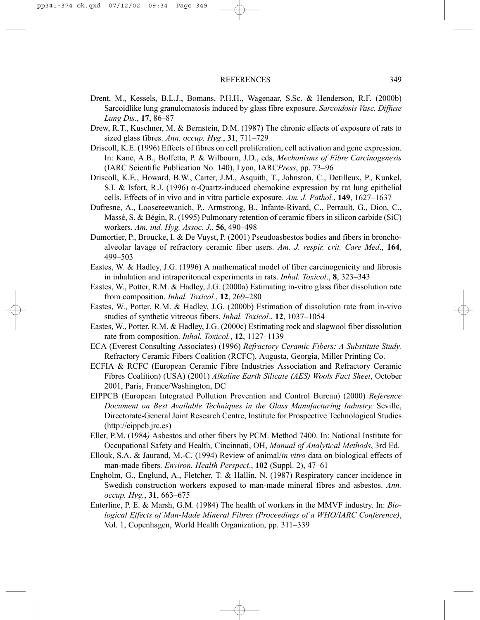- Drent, M., Kessels, B.L.J., Bomans, P.H.H., Wagenaar, S.Sc. & Henderson, R.F. (2000b) Sarcoidlike lung granulomatosis induced by glass fibre exposure. *Sarcoidosis Vasc. Diffuse Lung Dis*., **17**, 86–87
- Drew, R.T., Kuschner, M. & Bernstein, D.M. (1987) The chronic effects of exposure of rats to sized glass fibres. *Ann. occup. Hyg*., **31**, 711–729
- Driscoll, K.E. (1996) Effects of fibres on cell proliferation, cell activation and gene expression. In: Kane, A.B., Boffetta, P. & Wilbourn, J.D., eds, *Mechanisms of Fibre Carcinogenesis* (IARC Scientific Publication No. 140), Lyon, IARC*Press*, pp. 73–96
- Driscoll, K.E., Howard, B.W., Carter, J.M., Asquith, T., Johnston, C., Detilleux, P., Kunkel, S.I. & Isfort, R.J. (1996)  $\alpha$ -Quartz-induced chemokine expression by rat lung epithelial cells. Effects of in vivo and in vitro particle exposure. *Am. J. Pathol.*, **149**, 1627–1637
- Dufresne, A., Loosereewanich, P., Armstrong, B., Infante-Rivard, C., Perrault, G., Dion, C., Massé, S. & Bégin, R. (1995) Pulmonary retention of ceramic fibers in silicon carbide (SiC) workers. *Am. ind. Hyg. Assoc. J*., **56**, 490–498
- Dumortier, P., Broucke, I. & De Vuyst, P. (2001) Pseudoasbestos bodies and fibers in bronchoalveolar lavage of refractory ceramic fiber users. *Am. J. respir. crit. Care Med*., **164**, 499–503
- Eastes, W. & Hadley, J.G. (1996) A mathematical model of fiber carcinogenicity and fibrosis in inhalation and intraperitoneal experiments in rats. *Inhal. Toxicol*., **8**, 323–343
- Eastes, W., Potter, R.M. & Hadley, J.G. (2000a) Estimating in-vitro glass fiber dissolution rate from composition. *Inhal. Toxicol.*, **12**, 269–280
- Eastes, W., Potter, R.M. & Hadley, J.G. (2000b) Estimation of dissolution rate from in-vivo studies of synthetic vitreous fibers. *Inhal. Toxicol.*, **12**, 1037–1054
- Eastes, W., Potter, R.M. & Hadley, J.G. (2000c) Estimating rock and slagwool fiber dissolution rate from composition. *Inhal. Toxicol.*, **12**, 1127–1139
- ECA (Everest Consulting Associates) (1996) *Refractory Ceramic Fibers: A Substitute Study.* Refractory Ceramic Fibers Coalition (RCFC), Augusta, Georgia, Miller Printing Co.
- ECFIA & RCFC (European Ceramic Fibre Industries Association and Refractory Ceramic Fibres Coalition) (USA) (2001) *Alkaline Earth Silicate (AES) Wools Fact Sheet*, October 2001, Paris, France/Washington, DC
- EIPPCB (European Integrated Pollution Prevention and Control Bureau) (2000) *Reference Document on Best Available Techniques in the Glass Manufacturing Industry,* Seville, Directorate-General Joint Research Centre, Institute for Prospective Technological Studies (http://eippcb.jrc.es)
- Eller, P.M. (1984*)* Asbestos and other fibers by PCM. Method 7400. In: National Institute for Occupational Safety and Health, Cincinnati, OH, *Manual of Analytical Methods*, 3rd Ed.
- Ellouk, S.A. & Jaurand, M.-C. (1994) Review of animal/*in vitro* data on biological effects of man-made fibers. *Environ. Health Perspect*., **102** (Suppl. 2), 47–61
- Engholm, G., Englund, A., Fletcher, T. & Hallin, N. (1987) Respiratory cancer incidence in Swedish construction workers exposed to man-made mineral fibres and asbestos. *Ann. occup. Hyg.*, **31**, 663–675
- Enterline, P. E. & Marsh, G.M. (1984) The health of workers in the MMVF industry. In: *Biological Effects of Man-Made Mineral Fibres (Proceedings of a WHO/IARC Conference)*, Vol. 1, Copenhagen, World Health Organization, pp. 311–339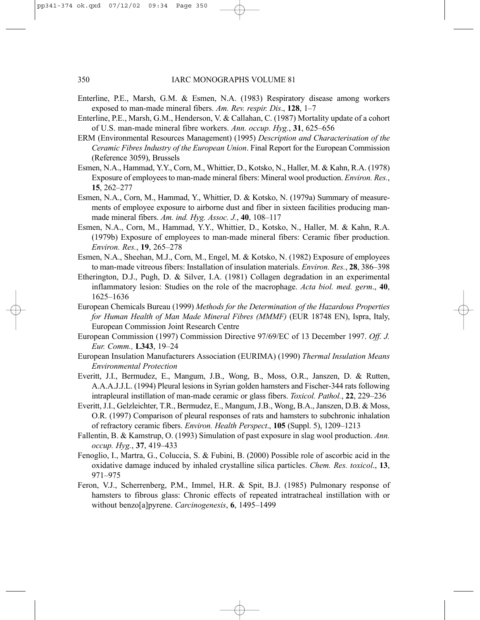- Enterline, P.E., Marsh, G.M. & Esmen, N.A. (1983) Respiratory disease among workers exposed to man-made mineral fibers. *Am. Rev. respir. Dis*., **128**, 1–7
- Enterline, P.E., Marsh, G.M., Henderson, V. & Callahan, C. (1987) Mortality update of a cohort of U.S. man-made mineral fibre workers. *Ann. occup. Hyg.*, **31**, 625–656
- ERM (Environmental Resources Management) (1995) *Description and Characterisation of the Ceramic Fibres Industry of the European Union*. Final Report for the European Commission (Reference 3059), Brussels
- Esmen, N.A., Hammad, Y.Y., Corn, M., Whittier, D., Kotsko, N., Haller, M. & Kahn, R.A. (1978) Exposure of employees to man-made mineral fibers: Mineral wool production. *Environ. Res.*, **15**, 262–277
- Esmen, N.A., Corn, M., Hammad, Y., Whittier, D. & Kotsko, N. (1979a) Summary of measurements of employee exposure to airborne dust and fiber in sixteen facilities producing manmade mineral fibers. *Am. ind. Hyg. Assoc. J.*, **40**, 108–117
- Esmen, N.A., Corn, M., Hammad, Y.Y., Whittier, D., Kotsko, N., Haller, M. & Kahn, R.A. (1979b) Exposure of employees to man-made mineral fibers: Ceramic fiber production. *Environ. Res.*, **19**, 265–278
- Esmen, N.A., Sheehan, M.J., Corn, M., Engel, M. & Kotsko, N. (1982) Exposure of employees to man-made vitreous fibers: Installation of insulation materials. *Environ. Res.*, **28**, 386–398
- Etherington, D.J., Pugh, D. & Silver, I.A. (1981) Collagen degradation in an experimental inflammatory lesion: Studies on the role of the macrophage. *Acta biol. med. germ*., **40**, 1625–1636
- European Chemicals Bureau (1999) *Methods for the Determination of the Hazardous Properties for Human Health of Man Made Mineral Fibres (MMMF)* (EUR 18748 EN), Ispra, Italy, European Commission Joint Research Centre
- European Commission (1997) Commission Directive 97/69/EC of 13 December 1997. *Off. J. Eur. Comm.,* **L343**, 19–24
- European Insulation Manufacturers Association (EURIMA) (1990) *Thermal Insulation Means Environmental Protection*
- Everitt, J.I., Bermudez, E., Mangum, J.B., Wong, B., Moss, O.R., Janszen, D. & Rutten, A.A.A.J.J.L. (1994) Pleural lesions in Syrian golden hamsters and Fischer-344 rats following intrapleural instillation of man-made ceramic or glass fibers. *Toxicol. Pathol.*, **22**, 229–236
- Everitt, J.I., Gelzleichter, T.R., Bermudez, E., Mangum, J.B., Wong, B.A., Janszen, D.B. & Moss, O.R. (1997) Comparison of pleural responses of rats and hamsters to subchronic inhalation of refractory ceramic fibers. *Environ. Health Perspect*., **105** (Suppl. 5), 1209–1213
- Fallentin, B. & Kamstrup, O. (1993) Simulation of past exposure in slag wool production. *Ann. occup. Hyg.*, **37**, 419–433
- Fenoglio, I., Martra, G., Coluccia, S. & Fubini, B. (2000) Possible role of ascorbic acid in the oxidative damage induced by inhaled crystalline silica particles. *Chem. Res. toxicol*., **13**, 971–975
- Feron, V.J., Scherrenberg, P.M., Immel, H.R. & Spit, B.J. (1985) Pulmonary response of hamsters to fibrous glass: Chronic effects of repeated intratracheal instillation with or without benzo[a]pyrene. *Carcinogenesis*, **6**, 1495–1499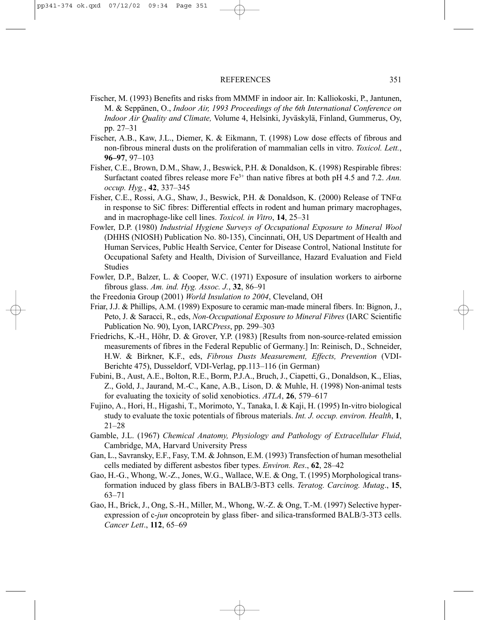- Fischer, M. (1993) Benefits and risks from MMMF in indoor air. In: Kalliokoski, P., Jantunen, M. & Seppänen, O., *Indoor Air, 1993 Proceedings of the 6th International Conference on Indoor Air Quality and Climate,* Volume 4, Helsinki, Jyväskylä, Finland, Gummerus, Oy, pp. 27–31
- Fischer, A.B., Kaw, J.L., Diemer, K. & Eikmann, T. (1998) Low dose effects of fibrous and non-fibrous mineral dusts on the proliferation of mammalian cells in vitro. *Toxicol. Lett.*, **96–97**, 97–103
- Fisher, C.E., Brown, D.M., Shaw, J., Beswick, P.H. & Donaldson, K. (1998) Respirable fibres: Surfactant coated fibres release more Fe3+ than native fibres at both pH 4.5 and 7.2. *Ann. occup. Hyg.*, **42**, 337–345
- Fisher, C.E., Rossi, A.G., Shaw, J., Beswick, P.H. & Donaldson, K. (2000) Release of TNF $\alpha$ in response to SiC fibres: Differential effects in rodent and human primary macrophages, and in macrophage-like cell lines. *Toxicol. in Vitro*, **14**, 25–31
- Fowler, D.P. (1980) *Industrial Hygiene Surveys of Occupational Exposure to Mineral Wool* (DHHS (NIOSH) Publication No. 80-135), Cincinnati, OH, US Department of Health and Human Services, Public Health Service, Center for Disease Control, National Institute for Occupational Safety and Health, Division of Surveillance, Hazard Evaluation and Field Studies
- Fowler, D.P., Balzer, L. & Cooper, W.C. (1971) Exposure of insulation workers to airborne fibrous glass. *Am. ind. Hyg. Assoc. J.*, **32**, 86–91
- the Freedonia Group (2001) *World Insulation to 2004*, Cleveland, OH
- Friar, J.J. & Phillips, A.M. (1989) Exposure to ceramic man-made mineral fibers. In: Bignon, J., Peto, J. & Saracci, R., eds, *Non-Occupational Exposure to Mineral Fibres* (IARC Scientific Publication No. 90), Lyon, IARC*Press*, pp. 299–303
- Friedrichs, K.-H., Höhr, D. & Grover, Y.P. (1983) [Results from non-source-related emission measurements of fibres in the Federal Republic of Germany.] In: Reinisch, D., Schneider, H.W. & Birkner, K.F., eds, *Fibrous Dusts Measurement, Effects, Prevention* (VDI-Berichte 475), Dusseldorf, VDI-Verlag, pp.113–116 (in German)
- Fubini, B., Aust, A.E., Bolton, R.E., Borm, P.J.A., Bruch, J., Ciapetti, G., Donaldson, K., Elias, Z., Gold, J., Jaurand, M.-C., Kane, A.B., Lison, D. & Muhle, H. (1998) Non-animal tests for evaluating the toxicity of solid xenobiotics. *ATLA*, **26**, 579–617
- Fujino, A., Hori, H., Higashi, T., Morimoto, Y., Tanaka, I. & Kaji, H. (1995) In-vitro biological study to evaluate the toxic potentials of fibrous materials. *Int. J. occup. environ. Health*, **1**, 21–28
- Gamble, J.L. (1967) *Chemical Anatomy, Physiology and Pathology of Extracellular Fluid*, Cambridge, MA, Harvard University Press
- Gan, L., Savransky, E.F., Fasy, T.M. & Johnson, E.M. (1993) Transfection of human mesothelial cells mediated by different asbestos fiber types. *Environ. Res*., **62**, 28–42
- Gao, H.-G., Whong, W.-Z., Jones, W.G., Wallace, W.E. & Ong, T. (1995) Morphological transformation induced by glass fibers in BALB/3-BT3 cells. *Teratog. Carcinog. Mutag*., **15**, 63–71
- Gao, H., Brick, J., Ong, S.-H., Miller, M., Whong, W.-Z. & Ong, T.-M. (1997) Selective hyperexpression of c-*jun* oncoprotein by glass fiber- and silica-transformed BALB/3-3T3 cells. *Cancer Lett*., **112**, 65–69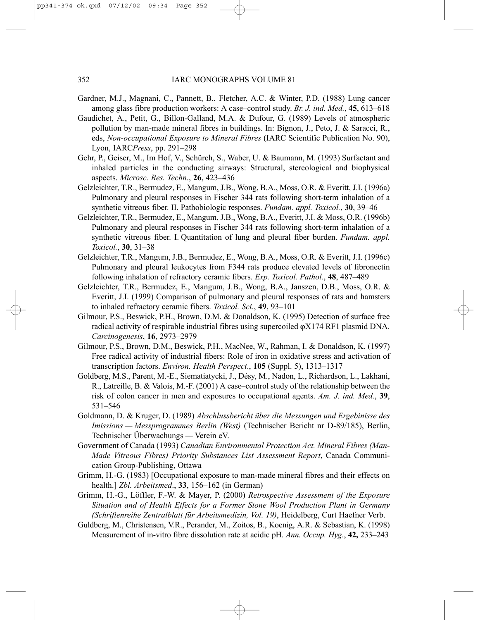- Gardner, M.J., Magnani, C., Pannett, B., Fletcher, A.C. & Winter, P.D. (1988) Lung cancer among glass fibre production workers: A case–control study. *Br. J. ind. Med.*, **45**, 613–618
- Gaudichet, A., Petit, G., Billon-Galland, M.A. & Dufour, G. (1989) Levels of atmospheric pollution by man-made mineral fibres in buildings. In: Bignon, J., Peto, J. & Saracci, R., eds, *Non-occupational Exposure to Mineral Fibres* (IARC Scientific Publication No. 90), Lyon, IARC*Press*, pp. 291–298
- Gehr, P., Geiser, M., Im Hof, V., Schürch, S., Waber, U. & Baumann, M. (1993) Surfactant and inhaled particles in the conducting airways: Structural, stereological and biophysical aspects. *Microsc. Res. Techn*., **26**, 423–436
- Gelzleichter, T.R., Bermudez, E., Mangum, J.B., Wong, B.A., Moss, O.R. & Everitt, J.I. (1996a) Pulmonary and pleural responses in Fischer 344 rats following short-term inhalation of a synthetic vitreous fiber. II. Pathobiologic responses. *Fundam. appl. Toxicol.*, **30**, 39–46
- Gelzleichter, T.R., Bermudez, E., Mangum, J.B., Wong, B.A., Everitt, J.I. & Moss, O.R. (1996b) Pulmonary and pleural responses in Fischer 344 rats following short-term inhalation of a synthetic vitreous fiber. I. Quantitation of lung and pleural fiber burden. *Fundam. appl. Toxicol.*, **30**, 31–38
- Gelzleichter, T.R., Mangum, J.B., Bermudez, E., Wong, B.A., Moss, O.R. & Everitt, J.I. (1996c) Pulmonary and pleural leukocytes from F344 rats produce elevated levels of fibronectin following inhalation of refractory ceramic fibers. *Exp. Toxicol. Pathol.*, **48**, 487–489
- Gelzleichter, T.R., Bermudez, E., Mangum, J.B., Wong, B.A., Janszen, D.B., Moss, O.R. & Everitt, J.I. (1999) Comparison of pulmonary and pleural responses of rats and hamsters to inhaled refractory ceramic fibers. *Toxicol. Sci*., **49**, 93–101
- Gilmour, P.S., Beswick, P.H., Brown, D.M. & Donaldson, K. (1995) Detection of surface free radical activity of respirable industrial fibres using supercoiled ϕX174 RF1 plasmid DNA. *Carcinogenesis*, **16**, 2973–2979
- Gilmour, P.S., Brown, D.M., Beswick, P.H., MacNee, W., Rahman, I. & Donaldson, K. (1997) Free radical activity of industrial fibers: Role of iron in oxidative stress and activation of transcription factors. *Environ. Health Perspect*., **105** (Suppl. 5), 1313–1317
- Goldberg, M.S., Parent, M.-E., Siematiatycki, J., Désy, M., Nadon, L., Richardson, L., Lakhani, R., Latreille, B. & Valois, M.-F. (2001) A case–control study of the relationship between the risk of colon cancer in men and exposures to occupational agents. *Am. J. ind. Med.*, **39**, 531–546
- Goldmann, D. & Kruger, D. (1989) *Abschlussbericht über die Messungen und Ergebinisse des Imissions — Messprogrammes Berlin (West)* (Technischer Bericht nr D-89/185), Berlin, Technischer Überwachungs *—* Verein eV.
- Government of Canada (1993) *Canadian Environmental Protection Act. Mineral Fibres (Man-Made Vitreous Fibres) Priority Substances List Assessment Report*, Canada Communication Group-Publishing, Ottawa
- Grimm, H.-G. (1983) [Occupational exposure to man-made mineral fibres and their effects on health.] *Zbl. Arbeitsmed*., **33**, 156–162 (in German)
- Grimm, H.-G., Löffler, F.-W. & Mayer, P. (2000) *Retrospective Assessment of the Exposure Situation and of Health Effects for a Former Stone Wool Production Plant in Germany (Schriftenreihe Zentralblatt für Arbeitsmedizin, Vol. 19)*, Heidelberg, Curt Haefner Verb.
- Guldberg, M., Christensen, V.R., Perander, M., Zoitos, B., Koenig, A.R. & Sebastian, K. (1998) Measurement of in-vitro fibre dissolution rate at acidic pH. *Ann. Occup. Hyg*., **42,** 233–243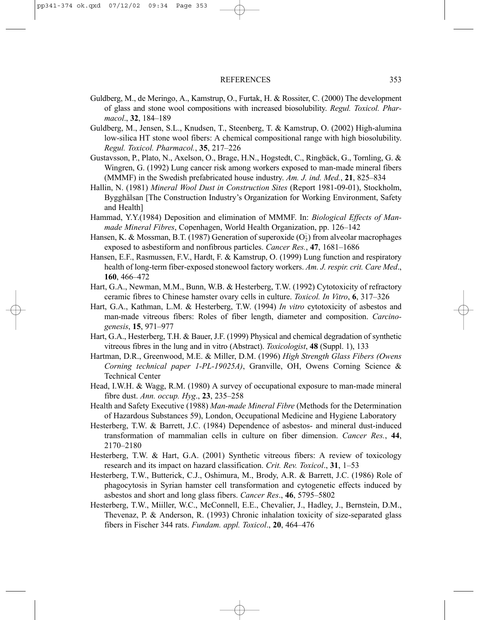- Guldberg, M., de Meringo, A., Kamstrup, O., Furtak, H. & Rossiter, C. (2000) The development of glass and stone wool compositions with increased biosolubility. *Regul. Toxicol. Pharmacol*., **32**, 184–189
- Guldberg, M., Jensen, S.L., Knudsen, T., Steenberg, T. & Kamstrup, O. (2002) High-alumina low-silica HT stone wool fibers: A chemical compositional range with high biosolubility. *Regul. Toxicol. Pharmacol.*, **35**, 217–226
- Gustavsson, P., Plato, N., Axelson, O., Brage, H.N., Hogstedt, C., Ringbäck, G., Tornling, G. & Wingren, G. (1992) Lung cancer risk among workers exposed to man-made mineral fibers (MMMF) in the Swedish prefabricated house industry. *Am. J. ind. Med.*, **21**, 825–834
- Hallin, N. (1981) *Mineral Wool Dust in Construction Sites* (Report 1981-09-01), Stockholm, Bygghälsan [The Construction Industry's Organization for Working Environment, Safety and Health]
- Hammad, Y.Y.(1984) Deposition and elimination of MMMF. In: *Biological Effects of Manmade Mineral Fibres*, Copenhagen, World Health Organization, pp. 126–142
- Hansen, K. & Mossman, B.T. (1987) Generation of superoxide  $(\overline{O_2})$  from alveolar macrophages exposed to asbestiform and nonfibrous particles. *Cancer Res.*, **47**, 1681–1686
- Hansen, E.F., Rasmussen, F.V., Hardt, F. & Kamstrup, O. (1999) Lung function and respiratory health of long-term fiber-exposed stonewool factory workers. *Am. J. respir. crit. Care Med*., **160**, 466–472
- Hart, G.A., Newman, M.M., Bunn, W.B. & Hesterberg, T.W. (1992) Cytotoxicity of refractory ceramic fibres to Chinese hamster ovary cells in culture. *Toxicol. In Vitro*, **6**, 317–326
- Hart, G.A., Kathman, L.M. & Hesterberg, T.W. (1994) *In vitro* cytotoxicity of asbestos and man-made vitreous fibers: Roles of fiber length, diameter and composition. *Carcinogenesis*, **15**, 971–977
- Hart, G.A., Hesterberg, T.H. & Bauer, J.F. (1999) Physical and chemical degradation of synthetic vitreous fibres in the lung and in vitro (Abstract). *Toxicologist*, **48** (Suppl. 1), 133
- Hartman, D.R., Greenwood, M.E. & Miller, D.M. (1996) *High Strength Glass Fibers (Owens Corning technical paper 1-PL-19025A)*, Granville, OH, Owens Corning Science & Technical Center
- Head, I.W.H. & Wagg, R.M. (1980) A survey of occupational exposure to man-made mineral fibre dust. *Ann. occup. Hyg*., **23**, 235–258
- Health and Safety Executive (1988) *Man-made Mineral Fibre* (Methods for the Determination of Hazardous Substances 59), London, Occupational Medicine and Hygiene Laboratory
- Hesterberg, T.W. & Barrett, J.C. (1984) Dependence of asbestos- and mineral dust-induced transformation of mammalian cells in culture on fiber dimension. *Cancer Res.*, **44**, 2170–2180
- Hesterberg, T.W. & Hart, G.A. (2001) Synthetic vitreous fibers: A review of toxicology research and its impact on hazard classification. *Crit. Rev. Toxicol*., **31**, 1–53
- Hesterberg, T.W., Butterick, C.J., Oshimura, M., Brody, A.R. & Barrett, J.C. (1986) Role of phagocytosis in Syrian hamster cell transformation and cytogenetic effects induced by asbestos and short and long glass fibers. *Cancer Res*., **46**, 5795–5802
- Hesterberg, T.W., Miiller, W.C., McConnell, E.E., Chevalier, J., Hadley, J., Bernstein, D.M., Thevenaz, P. & Anderson, R. (1993) Chronic inhalation toxicity of size-separated glass fibers in Fischer 344 rats. *Fundam. appl. Toxicol*., **20**, 464–476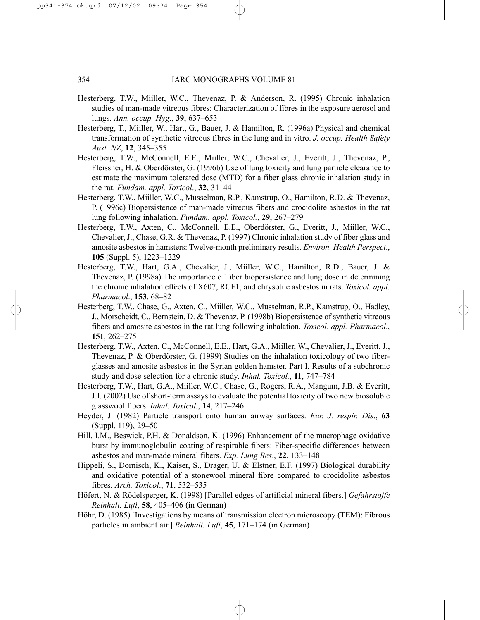- Hesterberg, T.W., Miiller, W.C., Thevenaz, P. & Anderson, R. (1995) Chronic inhalation studies of man-made vitreous fibres: Characterization of fibres in the exposure aerosol and lungs. *Ann. occup. Hyg*., **39**, 637–653
- Hesterberg, T., Miiller, W., Hart, G., Bauer, J. & Hamilton, R. (1996a) Physical and chemical transformation of synthetic vitreous fibres in the lung and in vitro. *J. occup. Health Safety Aust. NZ*, **12**, 345–355
- Hesterberg, T.W., McConnell, E.E., Miiller, W.C., Chevalier, J., Everitt, J., Thevenaz, P., Fleissner, H. & Oberdörster, G. (1996b) Use of lung toxicity and lung particle clearance to estimate the maximum tolerated dose (MTD) for a fiber glass chronic inhalation study in the rat. *Fundam. appl. Toxicol*., **32**, 31–44
- Hesterberg, T.W., Miiller, W.C., Musselman, R.P., Kamstrup, O., Hamilton, R.D. & Thevenaz, P. (1996c) Biopersistence of man-made vitreous fibers and crocidolite asbestos in the rat lung following inhalation. *Fundam. appl. Toxicol.*, **29**, 267–279
- Hesterberg, T.W., Axten, C., McConnell, E.E., Oberdörster, G., Everitt, J., Miiller, W.C., Chevalier, J., Chase, G.R. & Thevenaz, P. (1997) Chronic inhalation study of fiber glass and amosite asbestos in hamsters: Twelve-month preliminary results. *Environ. Health Perspect*., **105** (Suppl. 5), 1223–1229
- Hesterberg, T.W., Hart, G.A., Chevalier, J., Miiller, W.C., Hamilton, R.D., Bauer, J. & Thevenaz, P. (1998a) The importance of fiber biopersistence and lung dose in determining the chronic inhalation effects of X607, RCF1, and chrysotile asbestos in rats. *Toxicol. appl. Pharmacol*., **153**, 68–82
- Hesterberg, T.W., Chase, G., Axten, C., Miiller, W.C., Musselman, R.P., Kamstrup, O., Hadley, J., Morscheidt, C., Bernstein, D. & Thevenaz, P. (1998b) Biopersistence of synthetic vitreous fibers and amosite asbestos in the rat lung following inhalation. *Toxicol. appl. Pharmacol*., **151**, 262–275
- Hesterberg, T.W., Axten, C., McConnell, E.E., Hart, G.A., Miiller, W., Chevalier, J., Everitt, J., Thevenaz, P. & Oberdörster, G. (1999) Studies on the inhalation toxicology of two fiberglasses and amosite asbestos in the Syrian golden hamster. Part I. Results of a subchronic study and dose selection for a chronic study. *Inhal. Toxicol.*, **11**, 747–784
- Hesterberg, T.W., Hart, G.A., Miiller, W.C., Chase, G., Rogers, R.A., Mangum, J.B. & Everitt, J.I. (2002) Use of short-term assays to evaluate the potential toxicity of two new biosoluble glasswool fibers. *Inhal. Toxicol.*, **14**, 217–246
- Heyder, J. (1982) Particle transport onto human airway surfaces. *Eur. J. respir. Dis*., **63** (Suppl. 119), 29–50
- Hill, I.M., Beswick, P.H. & Donaldson, K. (1996) Enhancement of the macrophage oxidative burst by immunoglobulin coating of respirable fibers: Fiber-specific differences between asbestos and man-made mineral fibers. *Exp. Lung Res*., **22**, 133–148
- Hippeli, S., Dornisch, K., Kaiser, S., Dräger, U. & Elstner, E.F. (1997) Biological durability and oxidative potential of a stonewool mineral fibre compared to crocidolite asbestos fibres. *Arch. Toxicol*., **71**, 532–535
- Höfert, N. & Rödelsperger, K. (1998) [Parallel edges of artificial mineral fibers.] *Gefahrstoffe Reinhalt. Luft*, **58**, 405–406 (in German)
- Höhr, D. (1985) [Investigations by means of transmission electron microscopy (TEM): Fibrous particles in ambient air.] *Reinhalt. Luft*, **45**, 171–174 (in German)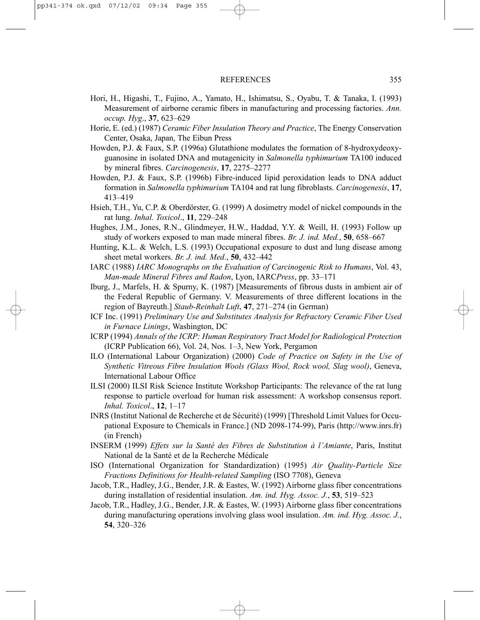- Hori, H., Higashi, T., Fujino, A., Yamato, H., Ishimatsu, S., Oyabu, T. & Tanaka, I. (1993) Measurement of airborne ceramic fibers in manufacturing and processing factories. *Ann. occup. Hyg*., **37**, 623–629
- Horie, E. (ed.) (1987) *Ceramic Fiber Insulation Theory and Practice*, The Energy Conservation Center, Osaka, Japan, The Eibun Press
- Howden, P.J. & Faux, S.P. (1996a) Glutathione modulates the formation of 8-hydroxydeoxyguanosine in isolated DNA and mutagenicity in *Salmonella typhimurium* TA100 induced by mineral fibres. *Carcinogenesis*, **17**, 2275–2277
- Howden, P.J. & Faux, S.P. (1996b) Fibre-induced lipid peroxidation leads to DNA adduct formation in *Salmonella typhimurium* TA104 and rat lung fibroblasts. *Carcinogenesis*, **17**, 413–419
- Hsieh, T.H., Yu, C.P. & Oberdörster, G. (1999) A dosimetry model of nickel compounds in the rat lung. *Inhal. Toxicol*., **11**, 229–248
- Hughes, J.M., Jones, R.N., Glindmeyer, H.W., Haddad, Y.Y. & Weill, H. (1993) Follow up study of workers exposed to man made mineral fibres. *Br. J. ind. Med.*, **50**, 658–667
- Hunting, K.L. & Welch, L.S. (1993) Occupational exposure to dust and lung disease among sheet metal workers. *Br. J. ind. Med*., **50**, 432–442
- IARC (1988) *IARC Monographs on the Evaluation of Carcinogenic Risk to Humans*, Vol. 43, *Man-made Mineral Fibres and Radon*, Lyon, IARC*Press*, pp. 33–171
- Iburg, J., Marfels, H. & Spurny, K. (1987) [Measurements of fibrous dusts in ambient air of the Federal Republic of Germany. V. Measurements of three different locations in the region of Bayreuth.] *Staub-Reinhalt Luft*, **47**, 271–274 (in German)
- ICF Inc. (1991) *Preliminary Use and Substitutes Analysis for Refractory Ceramic Fiber Used in Furnace Linings*, Washington, DC
- ICRP (1994) *Annals of the ICRP: Human Respiratory Tract Model for Radiological Protection* (ICRP Publication 66), Vol. 24, Nos. 1–3, New York, Pergamon
- ILO (International Labour Organization) (2000) *Code of Practice on Safety in the Use of Synthetic Vitreous Fibre Insulation Wools (Glass Wool, Rock wool, Slag wool)*, Geneva, International Labour Office
- ILSI (2000) ILSI Risk Science Institute Workshop Participants: The relevance of the rat lung response to particle overload for human risk assessment: A workshop consensus report. *Inhal. Toxicol*., **12**, 1–17
- INRS (Institut National de Recherche et de Sécurité) (1999) [Threshold Limit Values for Occupational Exposure to Chemicals in France.] (ND 2098-174-99), Paris (http://www.inrs.fr) (in French)
- INSERM (1999) *Effets sur la Santé des Fibres de Substitution à l'Amiante*, Paris, Institut National de la Santé et de la Recherche Médicale
- ISO (International Organization for Standardization) (1995) *Air Quality-Particle Size Fractions Definitions for Health-related Sampling* (ISO 7708), Geneva
- Jacob, T.R., Hadley, J.G., Bender, J.R. & Eastes, W. (1992) Airborne glass fiber concentrations during installation of residential insulation. *Am. ind. Hyg. Assoc. J.*, **53**, 519–523
- Jacob, T.R., Hadley, J.G., Bender, J.R. & Eastes, W. (1993) Airborne glass fiber concentrations during manufacturing operations involving glass wool insulation. *Am. ind. Hyg. Assoc. J.*, **54**, 320–326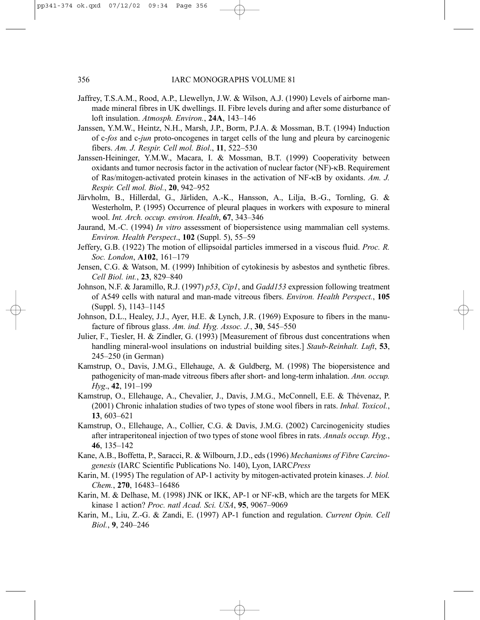- Jaffrey, T.S.A.M., Rood, A.P., Llewellyn, J.W. & Wilson, A.J. (1990) Levels of airborne manmade mineral fibres in UK dwellings. II. Fibre levels during and after some disturbance of loft insulation. *Atmosph. Environ.*, **24A**, 143–146
- Janssen, Y.M.W., Heintz, N.H., Marsh, J.P., Borm, P.J.A. & Mossman, B.T. (1994) Induction of c-*fos* and c-*jun* proto-oncogenes in target cells of the lung and pleura by carcinogenic fibers. *Am. J. Respir. Cell mol. Biol*., **11**, 522–530
- Janssen-Heininger, Y.M.W., Macara, I. & Mossman, B.T. (1999) Cooperativity between oxidants and tumor necrosis factor in the activation of nuclear factor (NF)-κB. Requirement of Ras/mitogen-activated protein kinases in the activation of NF-κB by oxidants. *Am. J. Respir. Cell mol. Biol.*, **20**, 942–952
- Järvholm, B., Hillerdal, G., Järliden, A.-K., Hansson, A., Lilja, B.-G., Tornling, G. & Westerholm, P. (1995) Occurrence of pleural plaques in workers with exposure to mineral wool. *Int. Arch. occup. environ. Health*, **67**, 343–346
- Jaurand, M.-C. (1994) *In vitro* assessment of biopersistence using mammalian cell systems. *Environ. Health Perspect*., **102** (Suppl. 5), 55–59
- Jeffery, G.B. (1922) The motion of ellipsoidal particles immersed in a viscous fluid. *Proc. R. Soc. London*, **A102**, 161–179
- Jensen, C.G. & Watson, M. (1999) Inhibition of cytokinesis by asbestos and synthetic fibres. *Cell Biol. int.*, **23**, 829–840
- Johnson, N.F. & Jaramillo, R.J. (1997) *p53*, *Cip1*, and *Gadd153* expression following treatment of A549 cells with natural and man-made vitreous fibers. *Environ. Health Perspect.*, **105** (Suppl. 5), 1143–1145
- Johnson, D.L., Healey, J.J., Ayer, H.E. & Lynch, J.R. (1969) Exposure to fibers in the manufacture of fibrous glass. *Am. ind. Hyg. Assoc. J.*, **30**, 545–550
- Julier, F., Tiesler, H. & Zindler, G. (1993) [Measurement of fibrous dust concentrations when handling mineral-wool insulations on industrial building sites.] *Staub-Reinhalt. Luft*, **53**, 245–250 (in German)
- Kamstrup, O., Davis, J.M.G., Ellehauge, A. & Guldberg, M. (1998) The biopersistence and pathogenicity of man-made vitreous fibers after short- and long-term inhalation. *Ann. occup. Hyg*., **42**, 191–199
- Kamstrup, O., Ellehauge, A., Chevalier, J., Davis, J.M.G., McConnell, E.E. & Thévenaz, P. (2001) Chronic inhalation studies of two types of stone wool fibers in rats. *Inhal. Toxicol.*, **13**, 603–621
- Kamstrup, O., Ellehauge, A., Collier, C.G. & Davis, J.M.G. (2002) Carcinogenicity studies after intraperitoneal injection of two types of stone wool fibres in rats. *Annals occup. Hyg.*, **46**, 135–142
- Kane, A.B., Boffetta, P., Saracci, R. & Wilbourn, J.D., eds (1996) *Mechanisms of Fibre Carcinogenesis* (IARC Scientific Publications No. 140), Lyon, IARC*Press*
- Karin, M. (1995) The regulation of AP-1 activity by mitogen-activated protein kinases. *J. biol. Chem.*, **270**, 16483–16486
- Karin, M. & Delhase, M. (1998) JNK or IKK, AP-1 or NF-κB, which are the targets for MEK kinase 1 action? *Proc. natl Acad. Sci. USA*, **95**, 9067–9069
- Karin, M., Liu, Z.-G. & Zandi, E. (1997) AP-1 function and regulation. *Current Opin. Cell Biol.*, **9**, 240–246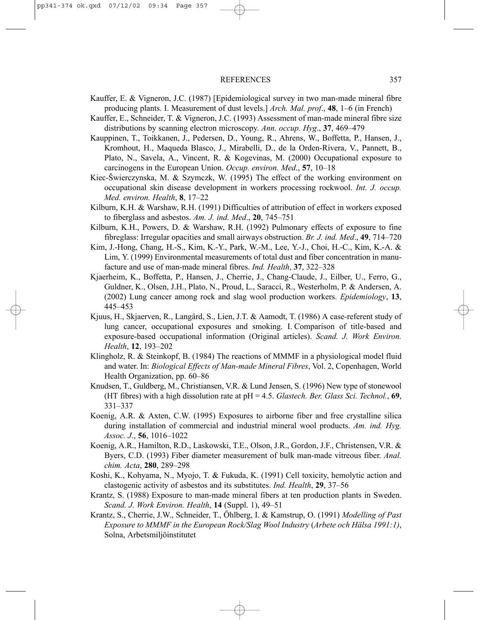- Kauffer, E. & Vigneron, J.C. (1987) [Epidemiological survey in two man-made mineral fibre producing plants. I. Measurement of dust levels.] *Arch. Mal. prof*., **48**, 1–6 (in French)
- Kauffer, E., Schneider, T. & Vigneron, J.C. (1993) Assessment of man-made mineral fibre size distributions by scanning electron microscopy. *Ann. occup. Hyg*., **37**, 469–479
- Kauppinen, T., Toikkanen, J., Pedersen, D., Young, R., Ahrens, W., Boffetta, P., Hansen, J., Kromhout, H., Maqueda Blasco, J., Mirabelli, D., de la Orden-Rivera, V., Pannett, B., Plato, N., Savela, A., Vincent, R. & Kogevinas, M. (2000) Occupational exposure to carcinogens in the European Union. *Occup. environ. Med*., **57**, 10–18
- Kiec-Šwierczynska, M. & Szymczk, W. (1995) The effect of the working environment on occupational skin disease development in workers processing rockwool. *Int. J. occup. Med. environ. Health*, **8**, 17–22
- Kilburn, K.H. & Warshaw, R.H. (1991) Difficulties of attribution of effect in workers exposed to fiberglass and asbestos. *Am. J. ind. Med*., **20**, 745–751
- Kilburn, K.H., Powers, D. & Warshaw, R.H. (1992) Pulmonary effects of exposure to fine fibreglass: Irregular opacities and small airways obstruction. *Br. J. ind. Med*., **49**, 714–720
- Kim, J.-Hong, Chang, H.-S., Kim, K.-Y., Park, W.-M., Lee, Y.-J., Choi, H.-C., Kim, K.-A. & Lim, Y. (1999) Environmental measurements of total dust and fiber concentration in manufacture and use of man-made mineral fibres. *Ind. Health*, **37**, 322–328
- Kjaerheim, K., Boffetta, P., Hansen, J., Cherrie, J., Chang-Claude, J., Eilber, U., Ferro, G., Guldner, K., Olsen, J.H., Plato, N., Proud, L., Saracci, R., Westerholm, P. & Andersen, A. (2002) Lung cancer among rock and slag wool production workers. *Epidemiology*, **13**, 445–453
- Kjuus, H., Skjaerven, R., Langård, S., Lien, J.T. & Aamodt, T. (1986) A case-referent study of lung cancer, occupational exposures and smoking. I. Comparison of title-based and exposure-based occupational information (Original articles). *Scand. J. Work Environ. Health*, **12**, 193–202
- Klingholz, R. & Steinkopf, B. (1984) The reactions of MMMF in a physiological model fluid and water. In: *Biological Effects of Man-made Mineral Fibres*, Vol. 2, Copenhagen, World Health Organization, pp. 60–86
- Knudsen, T., Guldberg, M., Christiansen, V.R. & Lund Jensen, S. (1996) New type of stonewool (HT fibres) with a high dissolution rate at pH = 4.5. *Glastech. Ber. Glass Sci. Technol.*, **69**, 331–337
- Koenig, A.R. & Axten, C.W. (1995) Exposures to airborne fiber and free crystalline silica during installation of commercial and industrial mineral wool products. *Am. ind. Hyg. Assoc. J.*, **56**, 1016–1022
- Koenig, A.R., Hamilton, R.D., Laskowski, T.E., Olson, J.R., Gordon, J.F., Christensen, V.R. & Byers, C.D. (1993) Fiber diameter measurement of bulk man-made vitreous fiber. *Anal. chim. Acta*, **280**, 289–298
- Koshi, K., Kohyama, N., Myojo, T. & Fukuda, K. (1991) Cell toxicity, hemolytic action and clastogenic activity of asbestos and its substitutes. *Ind. Health*, **29**, 37–56
- Krantz, S. (1988) Exposure to man-made mineral fibers at ten production plants in Sweden. *Scand. J. Work Environ. Health*, **14** (Suppl. 1), 49–51
- Krantz, S., Cherrie, J.W., Schneider, T., Öhlberg, I. & Kamstrup, O. (1991) *Modelling of Past Exposure to MMMF in the European Rock/Slag Wool Industry* (*Arbete och Hälsa 1991:1)*, Solna, Arbetsmiljöinstitutet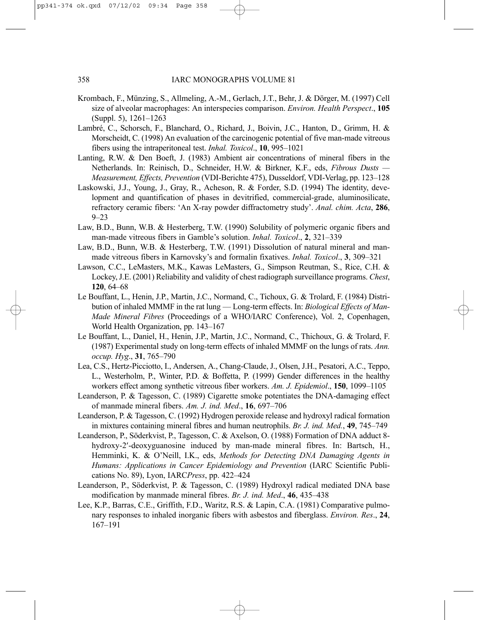- Krombach, F., Münzing, S., Allmeling, A.-M., Gerlach, J.T., Behr, J. & Dörger, M. (1997) Cell size of alveolar macrophages: An interspecies comparison. *Environ. Health Perspect*., **105** (Suppl. 5), 1261–1263
- Lambré, C., Schorsch, F., Blanchard, O., Richard, J., Boivin, J.C., Hanton, D., Grimm, H. & Morscheidt, C. (1998) An evaluation of the carcinogenic potential of five man-made vitreous fibers using the intraperitoneal test. *Inhal. Toxicol*., **10**, 995–1021
- Lanting, R.W. & Den Boeft, J. (1983) Ambient air concentrations of mineral fibers in the Netherlands. In: Reinisch, D., Schneider, H.W. & Birkner, K.F., eds, *Fibrous Dusts — Measurement, Effects, Prevention* (VDI-Berichte 475), Dusseldorf, VDI-Verlag, pp. 123–128
- Laskowski, J.J., Young, J., Gray, R., Acheson, R. & Forder, S.D. (1994) The identity, development and quantification of phases in devitrified, commercial-grade, aluminosilicate, refractory ceramic fibers: 'An X-ray powder diffractometry study'. *Anal. chim. Acta*, **286**, 9–23
- Law, B.D., Bunn, W.B. & Hesterberg, T.W. (1990) Solubility of polymeric organic fibers and man-made vitreous fibers in Gamble's solution. *Inhal. Toxicol*., **2**, 321–339
- Law, B.D., Bunn, W.B. & Hesterberg, T.W. (1991) Dissolution of natural mineral and manmade vitreous fibers in Karnovsky's and formalin fixatives. *Inhal. Toxicol*., **3**, 309–321
- Lawson, C.C., LeMasters, M.K., Kawas LeMasters, G., Simpson Reutman, S., Rice, C.H. & Lockey, J.E. (2001) Reliability and validity of chest radiograph surveillance programs. *Chest*, **120**, 64–68
- Le Bouffant, L., Henin, J.P., Martin, J.C., Normand, C., Tichoux, G. & Trolard, F. (1984) Distribution of inhaled MMMF in the rat lung — Long-term effects. In: *Biological Effects of Man-Made Mineral Fibres* (Proceedings of a WHO/IARC Conference), Vol. 2, Copenhagen, World Health Organization, pp. 143–167
- Le Bouffant, L., Daniel, H., Henin, J.P., Martin, J.C., Normand, C., Thichoux, G. & Trolard, F. (1987) Experimental study on long-term effects of inhaled MMMF on the lungs of rats. *Ann. occup. Hyg*., **31**, 765–790
- Lea, C.S., Hertz-Picciotto, I., Andersen, A., Chang-Claude, J., Olsen, J.H., Pesatori, A.C., Teppo, L., Westerholm, P., Winter, P.D. & Boffetta, P. (1999) Gender differences in the healthy workers effect among synthetic vitreous fiber workers. *Am. J. Epidemiol*., **150**, 1099–1105
- Leanderson, P. & Tagesson, C. (1989) Cigarette smoke potentiates the DNA-damaging effect of manmade mineral fibers. *Am. J. ind. Med*., **16**, 697–706
- Leanderson, P. & Tagesson, C. (1992) Hydrogen peroxide release and hydroxyl radical formation in mixtures containing mineral fibres and human neutrophils. *Br. J. ind. Med.*, **49**, 745–749
- Leanderson, P., Söderkvist, P., Tagesson, C. & Axelson, O. (1988) Formation of DNA adduct 8 hydroxy-2′-deoxyguanosine induced by man-made mineral fibres. In: Bartsch, H., Hemminki, K. & O'Neill, I.K., eds, *Methods for Detecting DNA Damaging Agents in Humans: Applications in Cancer Epidemiology and Prevention* (IARC Scientific Publications No. 89), Lyon, IARC*Press*, pp. 422–424
- Leanderson, P., Söderkvist, P. & Tagesson, C. (1989) Hydroxyl radical mediated DNA base modification by manmade mineral fibres. *Br. J. ind. Med*., **46**, 435–438
- Lee, K.P., Barras, C.E., Griffith, F.D., Waritz, R.S. & Lapin, C.A. (1981) Comparative pulmonary responses to inhaled inorganic fibers with asbestos and fiberglass. *Environ. Res*., **24**, 167–191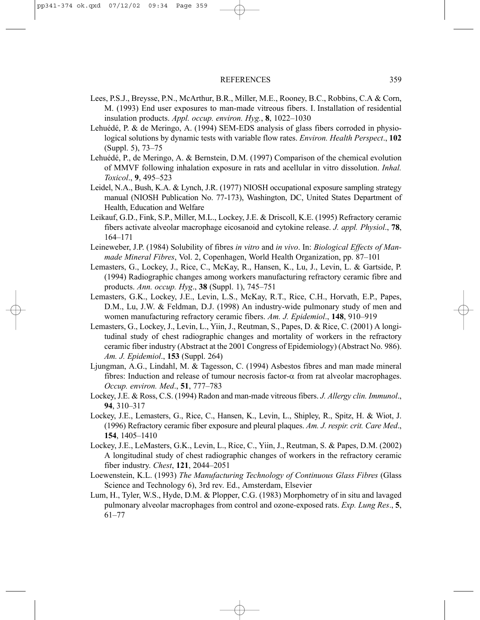- Lees, P.S.J., Breysse, P.N., McArthur, B.R., Miller, M.E., Rooney, B.C., Robbins, C.A & Corn, M. (1993) End user exposures to man-made vitreous fibers. I. Installation of residential insulation products. *Appl. occup. environ. Hyg.*, **8**, 1022–1030
- Lehuédé, P. & de Meringo, A. (1994) SEM-EDS analysis of glass fibers corroded in physiological solutions by dynamic tests with variable flow rates. *Environ. Health Perspect*., **102** (Suppl. 5), 73–75
- Lehuédé, P., de Meringo, A. & Bernstein, D.M. (1997) Comparison of the chemical evolution of MMVF following inhalation exposure in rats and acellular in vitro dissolution. *Inhal. Toxicol*., **9**, 495–523
- Leidel, N.A., Bush, K.A. & Lynch, J.R. (1977) NIOSH occupational exposure sampling strategy manual (NIOSH Publication No. 77-173), Washington, DC, United States Department of Health, Education and Welfare
- Leikauf, G.D., Fink, S.P., Miller, M.L., Lockey, J.E. & Driscoll, K.E. (1995) Refractory ceramic fibers activate alveolar macrophage eicosanoid and cytokine release. *J. appl. Physiol*., **78**, 164–171
- Leineweber, J.P. (1984) Solubility of fibres *in vitro* and *in vivo*. In: *Biological Effects of Manmade Mineral Fibres*, Vol. 2, Copenhagen, World Health Organization, pp. 87–101
- Lemasters, G., Lockey, J., Rice, C., McKay, R., Hansen, K., Lu, J., Levin, L. & Gartside, P. (1994) Radiographic changes among workers manufacturing refractory ceramic fibre and products. *Ann. occup. Hyg*., **38** (Suppl. 1), 745–751
- Lemasters, G.K., Lockey, J.E., Levin, L.S., McKay, R.T., Rice, C.H., Horvath, E.P., Papes, D.M., Lu, J.W. & Feldman, D.J. (1998) An industry-wide pulmonary study of men and women manufacturing refractory ceramic fibers. *Am. J. Epidemiol*., **148**, 910–919
- Lemasters, G., Lockey, J., Levin, L., Yiin, J., Reutman, S., Papes, D. & Rice, C. (2001) A longitudinal study of chest radiographic changes and mortality of workers in the refractory ceramic fiber industry (Abstract at the 2001 Congress of Epidemiology) (Abstract No. 986). *Am. J. Epidemiol*., **153** (Suppl. 264)
- Ljungman, A.G., Lindahl, M. & Tagesson, C. (1994) Asbestos fibres and man made mineral fibres: Induction and release of tumour necrosis factor-α from rat alveolar macrophages. *Occup. environ. Med*., **51**, 777–783
- Lockey, J.E. & Ross, C.S. (1994) Radon and man-made vitreous fibers. *J. Allergy clin. Immunol*., **94**, 310–317
- Lockey, J.E., Lemasters, G., Rice, C., Hansen, K., Levin, L., Shipley, R., Spitz, H. & Wiot, J. (1996) Refractory ceramic fiber exposure and pleural plaques. *Am. J. respir. crit. Care Med*., **154**, 1405–1410
- Lockey, J.E., LeMasters, G.K., Levin, L., Rice, C., Yiin, J., Reutman, S. & Papes, D.M. (2002) A longitudinal study of chest radiographic changes of workers in the refractory ceramic fiber industry. *Chest*, **121**, 2044–2051
- Loewenstein, K.L. (1993) *The Manufacturing Technology of Continuous Glass Fibres* (Glass Science and Technology 6), 3rd rev. Ed., Amsterdam, Elsevier
- Lum, H., Tyler, W.S., Hyde, D.M. & Plopper, C.G. (1983) Morphometry of in situ and lavaged pulmonary alveolar macrophages from control and ozone-exposed rats. *Exp. Lung Res*., **5**, 61–77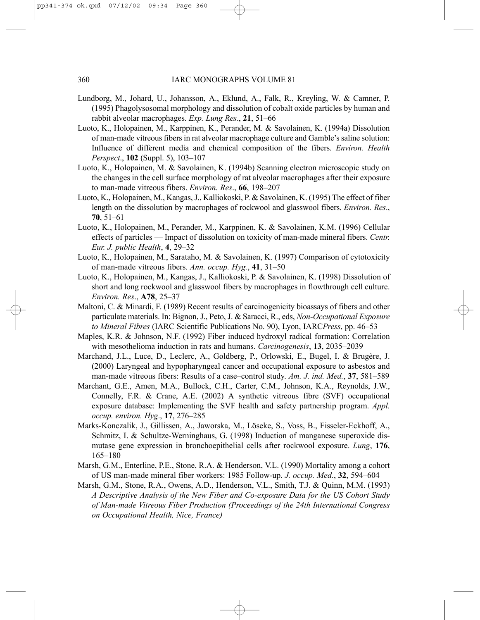- Lundborg, M., Johard, U., Johansson, A., Eklund, A., Falk, R., Kreyling, W. & Camner, P. (1995) Phagolysosomal morphology and dissolution of cobalt oxide particles by human and rabbit alveolar macrophages. *Exp. Lung Res*., **21**, 51–66
- Luoto, K., Holopainen, M., Karppinen, K., Perander, M. & Savolainen, K. (1994a) Dissolution of man-made vitreous fibers in rat alveolar macrophage culture and Gamble's saline solution: Influence of different media and chemical composition of the fibers. *Environ. Health Perspect*., **102** (Suppl. 5), 103–107
- Luoto, K., Holopainen, M. & Savolainen, K. (1994b) Scanning electron microscopic study on the changes in the cell surface morphology of rat alveolar macrophages after their exposure to man-made vitreous fibers. *Environ. Res*., **66**, 198–207
- Luoto, K., Holopainen, M., Kangas, J., Kalliokoski, P. & Savolainen, K. (1995) The effect of fiber length on the dissolution by macrophages of rockwool and glasswool fibers. *Environ. Res*., **70**, 51–61
- Luoto, K., Holopainen, M., Perander, M., Karppinen, K. & Savolainen, K.M. (1996) Cellular effects of particles — Impact of dissolution on toxicity of man-made mineral fibers. *Centr. Eur. J. public Health*, **4**, 29–32
- Luoto, K., Holopainen, M., Sarataho, M. & Savolainen, K. (1997) Comparison of cytotoxicity of man-made vitreous fibers. *Ann. occup. Hyg.*, **41**, 31–50
- Luoto, K., Holopainen, M., Kangas, J., Kalliokoski, P. & Savolainen, K. (1998) Dissolution of short and long rockwool and glasswool fibers by macrophages in flowthrough cell culture. *Environ. Res*., **A78**, 25–37
- Maltoni, C. & Minardi, F. (1989) Recent results of carcinogenicity bioassays of fibers and other particulate materials. In: Bignon, J., Peto, J. & Saracci, R., eds, *Non-Occupational Exposure to Mineral Fibres* (IARC Scientific Publications No. 90), Lyon, IARC*Press*, pp. 46–53
- Maples, K.R. & Johnson, N.F. (1992) Fiber induced hydroxyl radical formation: Correlation with mesothelioma induction in rats and humans. *Carcinogenesis*, **13**, 2035–2039
- Marchand, J.L., Luce, D., Leclerc, A., Goldberg, P., Orlowski, E., Bugel, I. & Brugère, J. (2000) Laryngeal and hypopharyngeal cancer and occupational exposure to asbestos and man-made vitreous fibers: Results of a case–control study. *Am. J. ind. Med.*, **37**, 581–589
- Marchant, G.E., Amen, M.A., Bullock, C.H., Carter, C.M., Johnson, K.A., Reynolds, J.W., Connelly, F.R. & Crane, A.E. (2002) A synthetic vitreous fibre (SVF) occupational exposure database: Implementing the SVF health and safety partnership program. *Appl. occup. environ. Hyg*., **17**, 276–285
- Marks-Konczalik, J., Gillissen, A., Jaworska, M., Löseke, S., Voss, B., Fisseler-Eckhoff, A., Schmitz, I. & Schultze-Werninghaus, G. (1998) Induction of manganese superoxide dismutase gene expression in bronchoepithelial cells after rockwool exposure. *Lung*, **176**, 165–180
- Marsh, G.M., Enterline, P.E., Stone, R.A. & Henderson, V.L. (1990) Mortality among a cohort of US man-made mineral fiber workers: 1985 Follow-up. *J. occup. Med.*, **32**, 594–604
- Marsh, G.M., Stone, R.A., Owens, A.D., Henderson, V.L., Smith, T.J. & Quinn, M.M. (1993) *A Descriptive Analysis of the New Fiber and Co-exposure Data for the US Cohort Study of Man-made Vitreous Fiber Production (Proceedings of the 24th International Congress on Occupational Health, Nice, France)*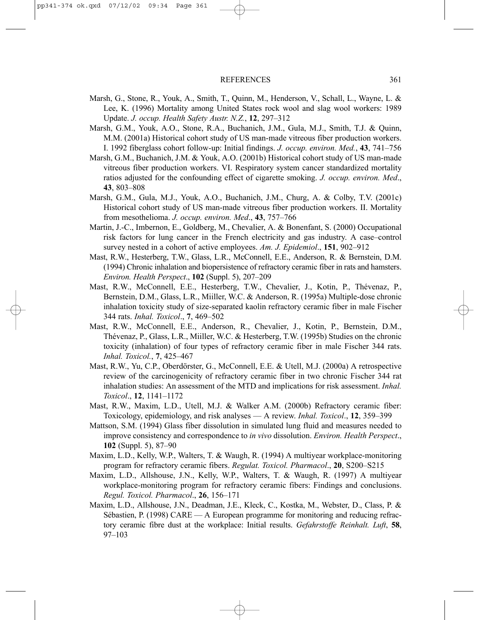- Marsh, G., Stone, R., Youk, A., Smith, T., Quinn, M., Henderson, V., Schall, L., Wayne, L. & Lee, K. (1996) Mortality among United States rock wool and slag wool workers: 1989 Update. *J. occup. Health Safety Austr. N.Z.*, **12**, 297–312
- Marsh, G.M., Youk, A.O., Stone, R.A., Buchanich, J.M., Gula, M.J., Smith, T.J. & Quinn, M.M. (2001a) Historical cohort study of US man-made vitreous fiber production workers. I. 1992 fiberglass cohort follow-up: Initial findings. *J. occup. environ. Med.*, **43**, 741–756
- Marsh, G.M., Buchanich, J.M. & Youk, A.O. (2001b) Historical cohort study of US man-made vitreous fiber production workers. VI. Respiratory system cancer standardized mortality ratios adjusted for the confounding effect of cigarette smoking. *J. occup. environ. Med*., **43**, 803–808
- Marsh, G.M., Gula, M.J., Youk, A.O., Buchanich, J.M., Churg, A. & Colby, T.V. (2001c) Historical cohort study of US man-made vitreous fiber production workers. II. Mortality from mesothelioma. *J. occup. environ. Med*., **43**, 757–766
- Martin, J.-C., Imbernon, E., Goldberg, M., Chevalier, A. & Bonenfant, S. (2000) Occupational risk factors for lung cancer in the French electricity and gas industry. A case–control survey nested in a cohort of active employees. *Am. J. Epidemiol*., **151**, 902–912
- Mast, R.W., Hesterberg, T.W., Glass, L.R., McConnell, E.E., Anderson, R. & Bernstein, D.M. (1994) Chronic inhalation and biopersistence of refractory ceramic fiber in rats and hamsters. *Environ. Health Perspect*., **102** (Suppl. 5), 207–209
- Mast, R.W., McConnell, E.E., Hesterberg, T.W., Chevalier, J., Kotin, P., Thévenaz, P., Bernstein, D.M., Glass, L.R., Miiller, W.C. & Anderson, R. (1995a) Multiple-dose chronic inhalation toxicity study of size-separated kaolin refractory ceramic fiber in male Fischer 344 rats. *Inhal. Toxicol*., **7**, 469–502
- Mast, R.W., McConnell, E.E., Anderson, R., Chevalier, J., Kotin, P., Bernstein, D.M., Thévenaz, P., Glass, L.R., Miiller, W.C. & Hesterberg, T.W. (1995b) Studies on the chronic toxicity (inhalation) of four types of refractory ceramic fiber in male Fischer 344 rats. *Inhal. Toxicol.*, **7**, 425–467
- Mast, R.W., Yu, C.P., Oberdörster, G., McConnell, E.E. & Utell, M.J. (2000a) A retrospective review of the carcinogenicity of refractory ceramic fiber in two chronic Fischer 344 rat inhalation studies: An assessment of the MTD and implications for risk assessment. *Inhal. Toxicol*., **12**, 1141–1172
- Mast, R.W., Maxim, L.D., Utell, M.J. & Walker A.M. (2000b) Refractory ceramic fiber: Toxicology, epidemiology, and risk analyses — A review. *Inhal. Toxicol*., **12**, 359–399
- Mattson, S.M. (1994) Glass fiber dissolution in simulated lung fluid and measures needed to improve consistency and correspondence to *in vivo* dissolution. *Environ. Health Perspect*., **102** (Suppl. 5), 87–90
- Maxim, L.D., Kelly, W.P., Walters, T. & Waugh, R. (1994) A multiyear workplace-monitoring program for refractory ceramic fibers. *Regulat. Toxicol. Pharmacol*., **20**, S200–S215
- Maxim, L.D., Allshouse, J.N., Kelly, W.P., Walters, T. & Waugh, R. (1997) A multiyear workplace-monitoring program for refractory ceramic fibers: Findings and conclusions. *Regul. Toxicol. Pharmacol*., **26**, 156–171
- Maxim, L.D., Allshouse, J.N., Deadman, J.E., Kleck, C., Kostka, M., Webster, D., Class, P. & Sébastien, P. (1998) CARE — A European programme for monitoring and reducing refractory ceramic fibre dust at the workplace: Initial results. *Gefahrstoffe Reinhalt. Luft*, **58**, 97–103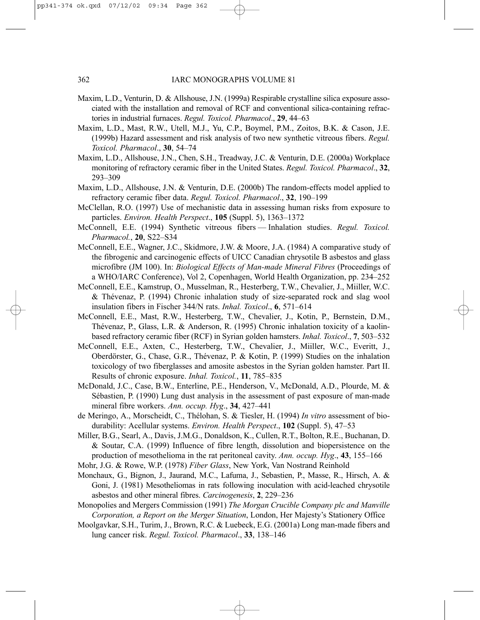- Maxim, L.D., Venturin, D. & Allshouse, J.N. (1999a) Respirable crystalline silica exposure associated with the installation and removal of RCF and conventional silica-containing refractories in industrial furnaces. *Regul. Toxicol. Pharmacol*., **29**, 44–63
- Maxim, L.D., Mast, R.W., Utell, M.J., Yu, C.P., Boymel, P.M., Zoitos, B.K. & Cason, J.E. (1999b) Hazard assessment and risk analysis of two new synthetic vitreous fibers. *Regul. Toxicol. Pharmacol*., **30**, 54–74
- Maxim, L.D., Allshouse, J.N., Chen, S.H., Treadway, J.C. & Venturin, D.E. (2000a) Workplace monitoring of refractory ceramic fiber in the United States. *Regul. Toxicol. Pharmacol*., **32**, 293–309
- Maxim, L.D., Allshouse, J.N. & Venturin, D.E. (2000b) The random-effects model applied to refractory ceramic fiber data. *Regul. Toxicol. Pharmacol*., **32**, 190–199
- McClellan, R.O. (1997) Use of mechanistic data in assessing human risks from exposure to particles. *Environ. Health Perspect*., **105** (Suppl. 5), 1363–1372
- McConnell, E.E. (1994) Synthetic vitreous fibers Inhalation studies. *Regul. Toxicol. Pharmacol.*, **20**, S22–S34
- McConnell, E.E., Wagner, J.C., Skidmore, J.W. & Moore, J.A. (1984) A comparative study of the fibrogenic and carcinogenic effects of UICC Canadian chrysotile B asbestos and glass microfibre (JM 100). In: *Biological Effects of Man-made Mineral Fibres* (Proceedings of a WHO/IARC Conference), Vol 2, Copenhagen, World Health Organization, pp. 234–252
- McConnell, E.E., Kamstrup, O., Musselman, R., Hesterberg, T.W., Chevalier, J., Miiller, W.C. & Thévenaz, P. (1994) Chronic inhalation study of size-separated rock and slag wool insulation fibers in Fischer 344/N rats. *Inhal. Toxicol*., **6**, 571–614
- McConnell, E.E., Mast, R.W., Hesterberg, T.W., Chevalier, J., Kotin, P., Bernstein, D.M., Thévenaz, P., Glass, L.R. & Anderson, R. (1995) Chronic inhalation toxicity of a kaolinbased refractory ceramic fiber (RCF) in Syrian golden hamsters. *Inhal. Toxicol*., **7**, 503–532
- McConnell, E.E., Axten, C., Hesterberg, T.W., Chevalier, J., Miiller, W.C., Everitt, J., Oberdörster, G., Chase, G.R., Thévenaz, P. & Kotin, P. (1999) Studies on the inhalation toxicology of two fiberglasses and amosite asbestos in the Syrian golden hamster. Part II. Results of chronic exposure. *Inhal. Toxicol.*, **11**, 785–835
- McDonald, J.C., Case, B.W., Enterline, P.E., Henderson, V., McDonald, A.D., Plourde, M. & Sébastien, P. (1990) Lung dust analysis in the assessment of past exposure of man-made mineral fibre workers. *Ann. occup. Hyg*., **34**, 427–441
- de Meringo, A., Morscheidt, C., Thélohan, S. & Tiesler, H. (1994) *In vitro* assessment of biodurability: Acellular systems. *Environ. Health Perspect*., **102** (Suppl. 5), 47–53
- Miller, B.G., Searl, A., Davis, J.M.G., Donaldson, K., Cullen, R.T., Bolton, R.E., Buchanan, D. & Soutar, C.A. (1999) Influence of fibre length, dissolution and biopersistence on the production of mesothelioma in the rat peritoneal cavity. *Ann. occup. Hyg*., **43**, 155–166
- Mohr, J.G. & Rowe, W.P. (1978) *Fiber Glass*, New York, Van Nostrand Reinhold
- Monchaux, G., Bignon, J., Jaurand, M.C., Lafuma, J., Sebastien, P., Masse, R., Hirsch, A. & Goni, J. (1981) Mesotheliomas in rats following inoculation with acid-leached chrysotile asbestos and other mineral fibres. *Carcinogenesis*, **2**, 229–236
- Monopolies and Mergers Commission (1991) *The Morgan Crucible Company plc and Manville Corporation, a Report on the Merger Situation*, London, Her Majesty's Stationery Office
- Moolgavkar, S.H., Turim, J., Brown, R.C. & Luebeck, E.G. (2001a) Long man-made fibers and lung cancer risk. *Regul. Toxicol. Pharmacol*., **33**, 138–146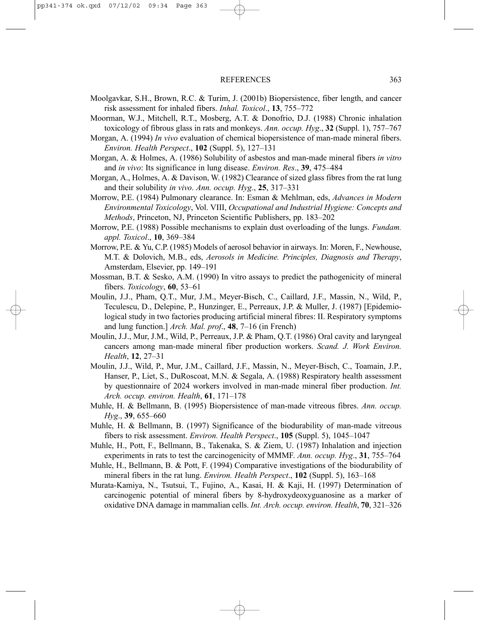- Moolgavkar, S.H., Brown, R.C. & Turim, J. (2001b) Biopersistence, fiber length, and cancer risk assessment for inhaled fibers. *Inhal. Toxicol*., **13**, 755–772
- Moorman, W.J., Mitchell, R.T., Mosberg, A.T. & Donofrio, D.J. (1988) Chronic inhalation toxicology of fibrous glass in rats and monkeys. *Ann. occup. Hyg*., **32** (Suppl. 1), 757–767
- Morgan, A. (1994) *In vivo* evaluation of chemical biopersistence of man-made mineral fibers. *Environ. Health Perspect*., **102** (Suppl. 5), 127–131
- Morgan, A. & Holmes, A. (1986) Solubility of asbestos and man-made mineral fibers *in vitro* and *in vivo*: Its significance in lung disease. *Environ. Res*., **39**, 475–484
- Morgan, A., Holmes, A. & Davison, W. (1982) Clearance of sized glass fibres from the rat lung and their solubility *in vivo*. *Ann. occup. Hyg*., **25**, 317–331
- Morrow, P.E. (1984) Pulmonary clearance. In: Esman & Mehlman, eds, *Advances in Modern Environmental Toxicology*, Vol. VIII, *Occupational and Industrial Hygiene: Concepts and Methods*, Princeton, NJ, Princeton Scientific Publishers, pp. 183–202
- Morrow, P.E. (1988) Possible mechanisms to explain dust overloading of the lungs. *Fundam. appl. Toxicol*., **10**, 369–384
- Morrow, P.E. & Yu, C.P. (1985) Models of aerosol behavior in airways. In: Moren, F., Newhouse, M.T. & Dolovich, M.B., eds, *Aerosols in Medicine. Principles, Diagnosis and Therapy*, Amsterdam, Elsevier, pp. 149–191
- Mossman, B.T. & Sesko, A.M. (1990) In vitro assays to predict the pathogenicity of mineral fibers. *Toxicology*, **60**, 53–61
- Moulin, J.J., Pham, Q.T., Mur, J.M., Meyer-Bisch, C., Caillard, J.F., Massin, N., Wild, P., Teculescu, D., Delepine, P., Hunzinger, E., Perreaux, J.P. & Muller, J. (1987) [Epidemiological study in two factories producing artificial mineral fibres: II. Respiratory symptoms and lung function.] *Arch. Mal. prof*., **48**, 7–16 (in French)
- Moulin, J.J., Mur, J.M., Wild, P., Perreaux, J.P. & Pham, Q.T. (1986) Oral cavity and laryngeal cancers among man-made mineral fiber production workers. *Scand. J. Work Environ. Health*, **12**, 27–31
- Moulin, J.J., Wild, P., Mur, J.M., Caillard, J.F., Massin, N., Meyer-Bisch, C., Toamain, J.P., Hanser, P., Liet, S., DuRoscoat, M.N. & Segala, A. (1988) Respiratory health assessment by questionnaire of 2024 workers involved in man-made mineral fiber production. *Int. Arch. occup. environ. Health*, **61**, 171–178
- Muhle, H. & Bellmann, B. (1995) Biopersistence of man-made vitreous fibres. *Ann. occup. Hyg*., **39**, 655–660
- Muhle, H. & Bellmann, B. (1997) Significance of the biodurability of man-made vitreous fibers to risk assessment. *Environ. Health Perspect*., **105** (Suppl. 5), 1045–1047
- Muhle, H., Pott, F., Bellmann, B., Takenaka, S. & Ziem, U. (1987) Inhalation and injection experiments in rats to test the carcinogenicity of MMMF. *Ann. occup. Hyg*., **31**, 755–764
- Muhle, H., Bellmann, B. & Pott, F. (1994) Comparative investigations of the biodurability of mineral fibers in the rat lung. *Environ. Health Perspect*., **102** (Suppl. 5), 163–168
- Murata-Kamiya, N., Tsutsui, T., Fujino, A., Kasai, H. & Kaji, H. (1997) Determination of carcinogenic potential of mineral fibers by 8-hydroxydeoxyguanosine as a marker of oxidative DNA damage in mammalian cells. *Int. Arch. occup. environ. Health*, **70**, 321–326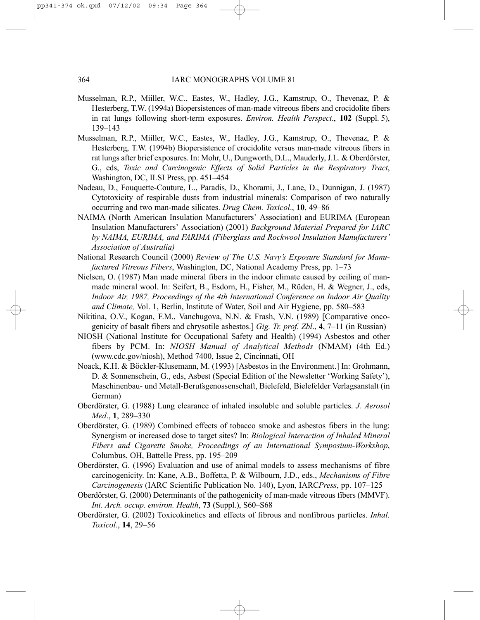- Musselman, R.P., Miiller, W.C., Eastes, W., Hadley, J.G., Kamstrup, O., Thevenaz, P. & Hesterberg, T.W. (1994a) Biopersistences of man-made vitreous fibers and crocidolite fibers in rat lungs following short-term exposures. *Environ. Health Perspect*., **102** (Suppl. 5), 139–143
- Musselman, R.P., Miiller, W.C., Eastes, W., Hadley, J.G., Kamstrup, O., Thevenaz, P. & Hesterberg, T.W. (1994b) Biopersistence of crocidolite versus man-made vitreous fibers in rat lungs after brief exposures. In: Mohr, U., Dungworth, D.L., Mauderly, J.L. & Oberdörster, G., eds, *Toxic and Carcinogenic Effects of Solid Particles in the Respiratory Tract*, Washington, DC, ILSI Press, pp. 451–454
- Nadeau, D., Fouquette-Couture, L., Paradis, D., Khorami, J., Lane, D., Dunnigan, J. (1987) Cytotoxicity of respirable dusts from industrial minerals: Comparison of two naturally occurring and two man-made silicates. *Drug Chem. Toxicol*., **10**, 49–86
- NAIMA (North American Insulation Manufacturers' Association) and EURIMA (European Insulation Manufacturers' Association) (2001) *Background Material Prepared for IARC by NAIMA, EURIMA, and FARIMA (Fiberglass and Rockwool Insulation Manufacturers' Association of Australia)*
- National Research Council (2000) *Review of The U.S. Navy's Exposure Standard for Manufactured Vitreous Fibers*, Washington, DC, National Academy Press, pp. 1–73
- Nielsen, O. (1987) Man made mineral fibers in the indoor climate caused by ceiling of manmade mineral wool. In: Seifert, B., Esdorn, H., Fisher, M., Rüden, H. & Wegner, J., eds, *Indoor Air, 1987, Proceedings of the 4th International Conference on Indoor Air Quality and Climate,* Vol. 1, Berlin, Institute of Water, Soil and Air Hygiene, pp. 580–583
- Nikitina, O.V., Kogan, F.M., Vanchugova, N.N. & Frash, V.N. (1989) [Comparative oncogenicity of basalt fibers and chrysotile asbestos.] *Gig. Tr. prof. Zbl*., **4**, 7–11 (in Russian)
- NIOSH (National Institute for Occupational Safety and Health) (1994) Asbestos and other fibers by PCM. In: *NIOSH Manual of Analytical Methods* (NMAM) (4th Ed.) (www.cdc.gov/niosh), Method 7400, Issue 2, Cincinnati, OH
- Noack, K.H. & Böckler-Klusemann, M. (1993) [Asbestos in the Environment.] In: Grohmann, D. & Sonnenschein, G., eds, Asbest (Special Edition of the Newsletter 'Working Safety'), Maschinenbau- und Metall-Berufsgenossenschaft, Bielefeld, Bielefelder Verlagsanstalt (in German)
- Oberdörster, G. (1988) Lung clearance of inhaled insoluble and soluble particles. *J. Aerosol Med*., **1**, 289–330
- Oberdörster, G. (1989) Combined effects of tobacco smoke and asbestos fibers in the lung: Synergism or increased dose to target sites? In: *Biological Interaction of Inhaled Mineral Fibers and Cigarette Smoke, Proceedings of an International Symposium-Workshop*, Columbus, OH, Battelle Press, pp. 195–209
- Oberdörster, G. (1996) Evaluation and use of animal models to assess mechanisms of fibre carcinogenicity. In: Kane, A.B., Boffetta, P. & Wilbourn, J.D., eds., *Mechanisms of Fibre Carcinogenesis* (IARC Scientific Publication No. 140), Lyon, IARC*Press*, pp. 107–125
- Oberdörster, G. (2000) Determinants of the pathogenicity of man-made vitreous fibers (MMVF). *Int. Arch. occup. environ. Health*, **73** (Suppl.), S60–S68
- Oberdörster, G. (2002) Toxicokinetics and effects of fibrous and nonfibrous particles. *Inhal. Toxicol.*, **14**, 29–56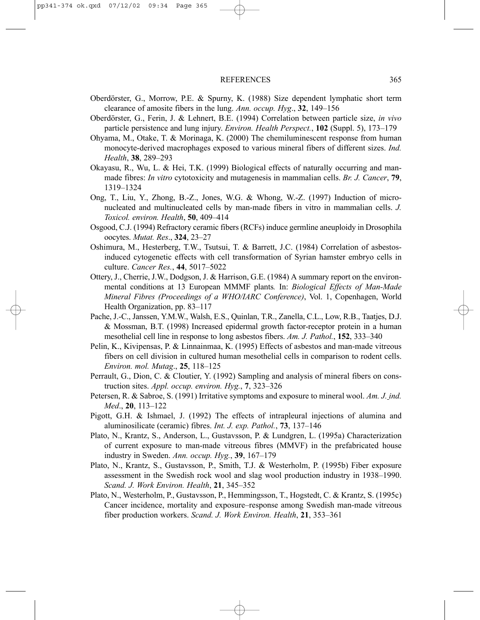- Oberdörster, G., Morrow, P.E. & Spurny, K. (1988) Size dependent lymphatic short term clearance of amosite fibers in the lung. *Ann. occup. Hyg*., **32**, 149–156
- Oberdörster, G., Ferin, J. & Lehnert, B.E. (1994) Correlation between particle size, *in vivo* particle persistence and lung injury. *Environ. Health Perspect.*, **102** (Suppl. 5), 173–179
- Ohyama, M., Otake, T. & Morinaga, K. (2000) The chemiluminescent response from human monocyte-derived macrophages exposed to various mineral fibers of different sizes. *Ind. Health*, **38**, 289–293
- Okayasu, R., Wu, L. & Hei, T.K. (1999) Biological effects of naturally occurring and manmade fibres: *In vitro* cytotoxicity and mutagenesis in mammalian cells. *Br. J. Cancer*, **79**, 1319–1324
- Ong, T., Liu, Y., Zhong, B.-Z., Jones, W.G. & Whong, W.-Z. (1997) Induction of micronucleated and multinucleated cells by man-made fibers in vitro in mammalian cells. *J. Toxicol. environ. Health*, **50**, 409–414
- Osgood, C.J. (1994) Refractory ceramic fibers (RCFs) induce germline aneuploidy in Drosophila oocytes. *Mutat. Res*., **324**, 23–27
- Oshimura, M., Hesterberg, T.W., Tsutsui, T. & Barrett, J.C. (1984) Correlation of asbestosinduced cytogenetic effects with cell transformation of Syrian hamster embryo cells in culture. *Cancer Res.*, **44**, 5017–5022
- Ottery, J., Cherrie, J.W., Dodgson, J. & Harrison, G.E. (1984) A summary report on the environmental conditions at 13 European MMMF plants*.* In: *Biological Effects of Man-Made Mineral Fibres (Proceedings of a WHO/IARC Conference)*, Vol. 1, Copenhagen, World Health Organization, pp. 83–117
- Pache, J.-C., Janssen, Y.M.W., Walsh, E.S., Quinlan, T.R., Zanella, C.L., Low, R.B., Taatjes, D.J. & Mossman, B.T. (1998) Increased epidermal growth factor-receptor protein in a human mesothelial cell line in response to long asbestos fibers. *Am. J. Pathol.*, **152**, 333–340
- Pelin, K., Kivipensas, P. & Linnainmaa, K. (1995) Effects of asbestos and man-made vitreous fibers on cell division in cultured human mesothelial cells in comparison to rodent cells. *Environ. mol. Mutag*., **25**, 118–125
- Perrault, G., Dion, C. & Cloutier, Y. (1992) Sampling and analysis of mineral fibers on construction sites. *Appl. occup. environ. Hyg.*, **7**, 323–326
- Petersen, R. & Sabroe, S. (1991) Irritative symptoms and exposure to mineral wool. *Am. J. ind. Med*., **20**, 113–122
- Pigott, G.H. & Ishmael, J. (1992) The effects of intrapleural injections of alumina and aluminosilicate (ceramic) fibres. *Int. J. exp. Pathol.*, **73**, 137–146
- Plato, N., Krantz, S., Anderson, L., Gustavsson, P. & Lundgren, L. (1995a) Characterization of current exposure to man-made vitreous fibres (MMVF) in the prefabricated house industry in Sweden. *Ann. occup. Hyg.*, **39**, 167–179
- Plato, N., Krantz, S., Gustavsson, P., Smith, T.J. & Westerholm, P. (1995b) Fiber exposure assessment in the Swedish rock wool and slag wool production industry in 1938–1990. *Scand. J. Work Environ. Health*, **21**, 345–352
- Plato, N., Westerholm, P., Gustavsson, P., Hemmingsson, T., Hogstedt, C. & Krantz, S. (1995c) Cancer incidence, mortality and exposure–response among Swedish man-made vitreous fiber production workers. *Scand. J. Work Environ. Health*, **21**, 353–361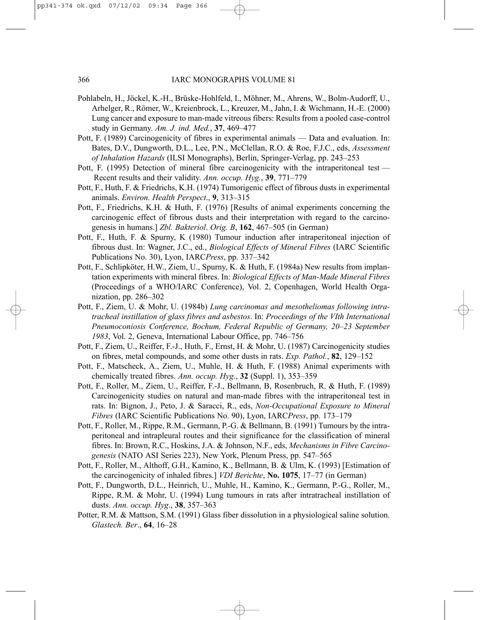- Pohlabeln, H., Jöckel, K.-H., Brüske-Hohlfeld, I., Möhner, M., Ahrens, W., Bolm-Audorff, U., Arhelger, R., Römer, W., Kreienbrock, L., Kreuzer, M., Jahn, I. & Wichmann, H.-E. (2000) Lung cancer and exposure to man-made vitreous fibers: Results from a pooled case-control study in Germany. *Am. J. ind. Med.*, **37**, 469–477
- Pott, F. (1989) Carcinogenicity of fibres in experimental animals Data and evaluation. In: Bates, D.V., Dungworth, D.L., Lee, P.N., McClellan, R.O. & Roe, F.J.C., eds, *Assessment of Inhalation Hazards* (ILSI Monographs), Berlin, Springer-Verlag, pp. 243–253
- Pott, F. (1995) Detection of mineral fibre carcinogenicity with the intraperitoneal test Recent results and their validity. *Ann. occup. Hyg.*, **39**, 771–779
- Pott, F., Huth, F. & Friedrichs, K.H. (1974) Tumorigenic effect of fibrous dusts in experimental animals. *Environ. Health Perspect*., **9**, 313–315
- Pott, F., Friedrichs, K.H. & Huth, F. (1976) [Results of animal experiments concerning the carcinogenic effect of fibrous dusts and their interpretation with regard to the carcinogenesis in humans.] *Zbl. Bakteriol*. *Orig. B*, **162**, 467–505 (in German)
- Pott, F., Huth, F. & Spurny, K (1980) Tumour induction after intraperitoneal injection of fibrous dust. In: Wagner, J.C., ed., *Biological Effects of Mineral Fibres* (IARC Scientific Publications No. 30), Lyon, IARC*Press*, pp. 337–342
- Pott, F., Schlipköter, H.W., Ziem, U., Spurny, K. & Huth, F. (1984a) New results from implantation experiments with mineral fibres. In: *Biological Effects of Man-Made Mineral Fibres* (Proceedings of a WHO/IARC Conference), Vol. 2, Copenhagen, World Health Organization, pp. 286–302
- Pott, F., Ziem, U. & Mohr, U. (1984b) *Lung carcinomas and mesotheliomas following intratracheal instillation of glass fibres and asbestos*. In: *Proceedings of the VIth International Pneumoconiosis Conference, Bochum, Federal Republic of Germany, 20–23 September 1983*, Vol. 2, Geneva, International Labour Office, pp. 746–756
- Pott, F., Ziem, U., Reiffer, F.-J., Huth, F., Ernst, H. & Mohr, U. (1987) Carcinogenicity studies on fibres, metal compounds, and some other dusts in rats. *Exp. Pathol.*, **82**, 129–152
- Pott, F., Matscheck, A., Ziem, U., Muhle, H. & Huth, F. (1988) Animal experiments with chemically treated fibres. *Ann. occup. Hyg.*, **32** (Suppl. 1), 353–359
- Pott, F., Roller, M., Ziem, U., Reiffer, F.-J., Bellmann, B, Rosenbruch, R. & Huth, F. (1989) Carcinogenicity studies on natural and man-made fibres with the intraperitoneal test in rats. In: Bignon, J., Peto, J. & Saracci, R., eds, *Non-Occupational Exposure to Mineral Fibres* (IARC Scientific Publications No. 90), Lyon, IARC*Press*, pp. 173–179
- Pott, F., Roller, M., Rippe, R.M., Germann, P.-G. & Bellmann, B. (1991) Tumours by the intraperitoneal and intrapleural routes and their significance for the classification of mineral fibres. In: Brown, R.C., Hoskins, J.A. & Johnson, N.F., eds, *Mechanisms in Fibre Carcinogenesis* (NATO ASI Series 223), New York, Plenum Press, pp. 547–565
- Pott, F., Roller, M., Althoff, G.H., Kamino, K., Bellmann, B. & Ulm, K. (1993) [Estimation of the carcinogenicity of inhaled fibres.] *VDI Berichte*, **No. 1075**, 17–77 (in German)
- Pott, F., Dungworth, D.L., Heinrich, U., Muhle, H., Kamino, K., Germann, P.-G., Roller, M., Rippe, R.M. & Mohr, U. (1994) Lung tumours in rats after intratracheal instillation of dusts. *Ann. occup. Hyg*., **38**, 357–363
- Potter, R.M. & Mattson, S.M. (1991) Glass fiber dissolution in a physiological saline solution. *Glastech. Ber*., **64**, 16–28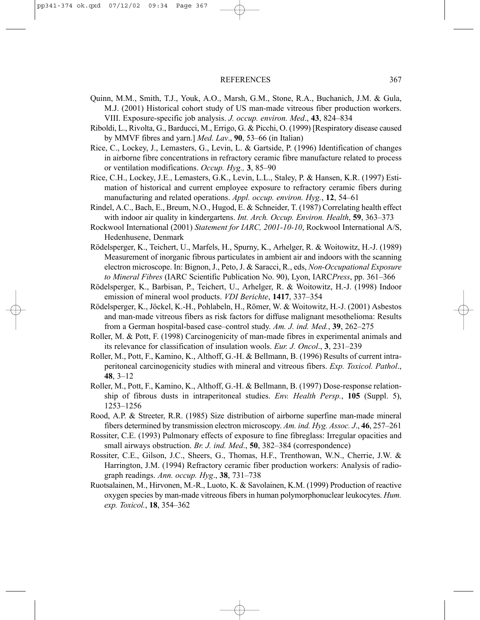- Quinn, M.M., Smith, T.J., Youk, A.O., Marsh, G.M., Stone, R.A., Buchanich, J.M. & Gula, M.J. (2001) Historical cohort study of US man-made vitreous fiber production workers. VIII. Exposure-specific job analysis. *J. occup. environ. Med*., **43**, 824–834
- Riboldi, L., Rivolta, G., Barducci, M., Errigo, G. & Picchi, O. (1999) [Respiratory disease caused by MMVF fibres and yarn.] *Med. Lav*., **90**, 53–66 (in Italian)
- Rice, C., Lockey, J., Lemasters, G., Levin, L. & Gartside, P. (1996) Identification of changes in airborne fibre concentrations in refractory ceramic fibre manufacture related to process or ventilation modifications. *Occup. Hyg.,* **3**, 85–90
- Rice, C.H., Lockey, J.E., Lemasters, G.K., Levin, L.L., Staley, P. & Hansen, K.R. (1997) Estimation of historical and current employee exposure to refractory ceramic fibers during manufacturing and related operations. *Appl. occup. environ. Hyg.*, **12**, 54–61
- Rindel, A.C., Bach, E., Breum, N.O., Hugod, E. & Schneider, T. (1987) Correlating health effect with indoor air quality in kindergartens. *Int. Arch. Occup. Environ. Health*, **59**, 363–373
- Rockwool International (2001) *Statement for IARC, 2001-10-10*, Rockwool International A/S, Hedenhusene, Denmark
- Rödelsperger, K., Teichert, U., Marfels, H., Spurny, K., Arhelger, R. & Woitowitz, H.-J. (1989) Measurement of inorganic fibrous particulates in ambient air and indoors with the scanning electron microscope. In: Bignon, J., Peto, J. & Saracci, R., eds, *Non-Occupational Exposure to Mineral Fibres* (IARC Scientific Publication No. 90), Lyon, IARC*Press*, pp. 361–366
- Rödelsperger, K., Barbisan, P., Teichert, U., Arhelger, R. & Woitowitz, H.-J. (1998) Indoor emission of mineral wool products. *VDI Berichte*, **1417**, 337–354
- Rödelsperger, K., Jöckel, K.-H., Pohlabeln, H., Römer, W. & Woitowitz, H.-J. (2001) Asbestos and man-made vitreous fibers as risk factors for diffuse malignant mesothelioma: Results from a German hospital-based case–control study. *Am. J. ind. Med.*, **39**, 262–275
- Roller, M. & Pott, F. (1998) Carcinogenicity of man-made fibres in experimental animals and its relevance for classification of insulation wools. *Eur. J. Oncol*., **3**, 231–239
- Roller, M., Pott, F., Kamino, K., Althoff, G.-H. & Bellmann, B. (1996) Results of current intraperitoneal carcinogenicity studies with mineral and vitreous fibers. *Exp. Toxicol. Pathol*., **48**, 3–12
- Roller, M., Pott, F., Kamino, K., Althoff, G.-H. & Bellmann, B. (1997) Dose-response relationship of fibrous dusts in intraperitoneal studies. *Env. Health Persp.*, **105** (Suppl. 5), 1253–1256
- Rood, A.P. & Streeter, R.R. (1985) Size distribution of airborne superfine man-made mineral fibers determined by transmission electron microscopy. *Am. ind. Hyg. Assoc. J*., **46**, 257–261
- Rossiter, C.E. (1993) Pulmonary effects of exposure to fine fibreglass: Irregular opacities and small airways obstruction. *Br. J. ind. Med*., **50**, 382–384 (correspondence)
- Rossiter, C.E., Gilson, J.C., Sheers, G., Thomas, H.F., Trenthowan, W.N., Cherrie, J.W. & Harrington, J.M. (1994) Refractory ceramic fiber production workers: Analysis of radiograph readings. *Ann. occup. Hyg*., **38**, 731–738
- Ruotsalainen, M., Hirvonen, M.-R., Luoto, K. & Savolainen, K.M. (1999) Production of reactive oxygen species by man-made vitreous fibers in human polymorphonuclear leukocytes. *Hum. exp. Toxicol.*, **18**, 354–362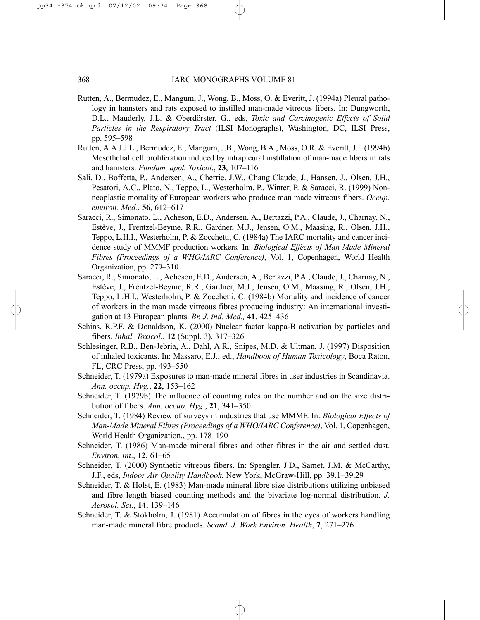- Rutten, A., Bermudez, E., Mangum, J., Wong, B., Moss, O. & Everitt, J. (1994a) Pleural pathology in hamsters and rats exposed to instilled man-made vitreous fibers. In: Dungworth, D.L., Mauderly, J.L. & Oberdörster, G., eds, *Toxic and Carcinogenic Effects of Solid Particles in the Respiratory Tract* (ILSI Monographs), Washington, DC, ILSI Press, pp. 595–598
- Rutten, A.A.J.J.L., Bermudez, E., Mangum, J.B., Wong, B.A., Moss, O.R. & Everitt, J.I. (1994b) Mesothelial cell proliferation induced by intrapleural instillation of man-made fibers in rats and hamsters. *Fundam. appl. Toxicol*., **23**, 107–116
- Sali, D., Boffetta, P., Andersen, A., Cherrie, J.W., Chang Claude, J., Hansen, J., Olsen, J.H., Pesatori, A.C., Plato, N., Teppo, L., Westerholm, P., Winter, P. & Saracci, R. (1999) Nonneoplastic mortality of European workers who produce man made vitreous fibers. *Occup. environ. Med.*, **56**, 612–617
- Saracci, R., Simonato, L., Acheson, E.D., Andersen, A., Bertazzi, P.A., Claude, J., Charnay, N., Estève, J., Frentzel-Beyme, R.R., Gardner, M.J., Jensen, O.M., Maasing, R., Olsen, J.H., Teppo, L.H.I., Westerholm, P. & Zocchetti, C. (1984a) The IARC mortality and cancer incidence study of MMMF production workers*.* In: *Biological Effects of Man-Made Mineral Fibres (Proceedings of a WHO/IARC Conference)*, Vol. 1, Copenhagen, World Health Organization, pp. 279–310
- Saracci, R., Simonato, L., Acheson, E.D., Andersen, A., Bertazzi, P.A., Claude, J., Charnay, N., Estève, J., Frentzel-Beyme, R.R., Gardner, M.J., Jensen, O.M., Maasing, R., Olsen, J.H., Teppo, L.H.I., Westerholm, P. & Zocchetti, C. (1984b) Mortality and incidence of cancer of workers in the man made vitreous fibres producing industry: An international investigation at 13 European plants. *Br. J. ind. Med.,* **41**, 425–436
- Schins, R.P.F. & Donaldson, K. (2000) Nuclear factor kappa-B activation by particles and fibers. *Inhal. Toxicol.*, **12** (Suppl. 3), 317–326
- Schlesinger, R.B., Ben-Jebria, A., Dahl, A.R., Snipes, M.D. & Ultman, J. (1997) Disposition of inhaled toxicants. In: Massaro, E.J., ed., *Handbook of Human Toxicology*, Boca Raton, FL, CRC Press, pp. 493–550
- Schneider, T. (1979a) Exposures to man-made mineral fibres in user industries in Scandinavia. *Ann. occup. Hyg.*, **22**, 153–162
- Schneider, T. (1979b) The influence of counting rules on the number and on the size distribution of fibers. *Ann. occup. Hyg*., **21**, 341–350
- Schneider, T. (1984) Review of surveys in industries that use MMMF. In: *Biological Effects of Man-Made Mineral Fibres (Proceedings of a WHO/IARC Conference)*, Vol. 1, Copenhagen, World Health Organization., pp. 178–190
- Schneider, T. (1986) Man-made mineral fibres and other fibres in the air and settled dust. *Environ. int*., **12**, 61–65
- Schneider, T. (2000) Synthetic vitreous fibers. In: Spengler, J.D., Samet, J.M. & McCarthy, J.F., eds, *Indoor Air Quality Handbook*, New York, McGraw-Hill, pp. 39.1–39.29
- Schneider, T. & Holst, E. (1983) Man-made mineral fibre size distributions utilizing unbiased and fibre length biased counting methods and the bivariate log-normal distribution. *J. Aerosol. Sci*., **14**, 139–146
- Schneider, T. & Stokholm, J. (1981) Accumulation of fibres in the eyes of workers handling man-made mineral fibre products. *Scand. J. Work Environ. Health*, **7**, 271–276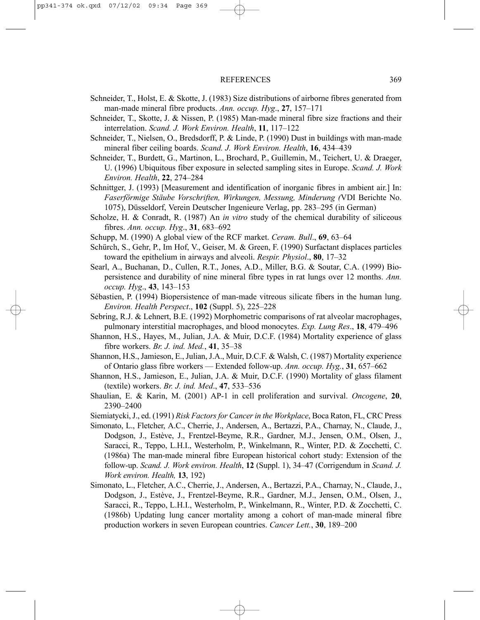- Schneider, T., Holst, E. & Skotte, J. (1983) Size distributions of airborne fibres generated from man-made mineral fibre products. *Ann. occup. Hyg*., **27**, 157–171
- Schneider, T., Skotte, J. & Nissen, P. (1985) Man-made mineral fibre size fractions and their interrelation. *Scand. J. Work Environ. Health*, **11**, 117–122
- Schneider, T., Nielsen, O., Bredsdorff, P. & Linde, P. (1990) Dust in buildings with man-made mineral fiber ceiling boards. *Scand. J. Work Environ. Health*, **16**, 434–439
- Schneider, T., Burdett, G., Martinon, L., Brochard, P., Guillemin, M., Teichert, U. & Draeger, U. (1996) Ubiquitous fiber exposure in selected sampling sites in Europe. *Scand. J. Work Environ. Health*, **22**, 274–284
- Schnittger, J. (1993) [Measurement and identification of inorganic fibres in ambient air.] In: *Faserförmige Stäube Vorschriften, Wirkungen, Messung, Minderung (*VDI Berichte No. 1075), Düsseldorf, Verein Deutscher Ingenieure Verlag, pp. 283–295 (in German)
- Scholze, H. & Conradt, R. (1987) An *in vitro* study of the chemical durability of siliceous fibres. *Ann. occup. Hyg*., **31**, 683–692
- Schupp, M. (1990) A global view of the RCF market. *Ceram. Bull*., **69**, 63–64
- Schürch, S., Gehr, P., Im Hof, V., Geiser, M. & Green, F. (1990) Surfactant displaces particles toward the epithelium in airways and alveoli. *Respir. Physiol*., **80**, 17–32
- Searl, A., Buchanan, D., Cullen, R.T., Jones, A.D., Miller, B.G. & Soutar, C.A. (1999) Biopersistence and durability of nine mineral fibre types in rat lungs over 12 months. *Ann. occup. Hyg*., **43**, 143–153
- Sébastien, P. (1994) Biopersistence of man-made vitreous silicate fibers in the human lung. *Environ. Health Perspect*., **102** (Suppl. 5), 225–228
- Sebring, R.J. & Lehnert, B.E. (1992) Morphometric comparisons of rat alveolar macrophages, pulmonary interstitial macrophages, and blood monocytes. *Exp. Lung Res*., **18**, 479–496
- Shannon, H.S., Hayes, M., Julian, J.A. & Muir, D.C.F. (1984) Mortality experience of glass fibre workers. *Br. J. ind. Med.*, **41**, 35–38
- Shannon, H.S., Jamieson, E., Julian, J.A., Muir, D.C.F. & Walsh, C. (1987) Mortality experience of Ontario glass fibre workers — Extended follow-up. *Ann. occup. Hyg.*, **31**, 657–662
- Shannon, H.S., Jamieson, E., Julian, J.A. & Muir, D.C.F. (1990) Mortality of glass filament (textile) workers. *Br. J. ind. Med*., **47**, 533–536
- Shaulian, E. & Karin, M. (2001) AP-1 in cell proliferation and survival. *Oncogene*, **20**, 2390–2400
- Siemiatycki, J., ed. (1991) *Risk Factors for Cancer in the Workplace*, Boca Raton, FL, CRC Press
- Simonato, L., Fletcher, A.C., Cherrie, J., Andersen, A., Bertazzi, P.A., Charnay, N., Claude, J., Dodgson, J., Estève, J., Frentzel-Beyme, R.R., Gardner, M.J., Jensen, O.M., Olsen, J., Saracci, R., Teppo, L.H.I., Westerholm, P., Winkelmann, R., Winter, P.D. & Zocchetti, C. (1986a) The man-made mineral fibre European historical cohort study: Extension of the follow-up. *Scand. J. Work environ. Health*, **12** (Suppl. 1), 34–47 (Corrigendum in *Scand. J. Work environ. Health,* **13**, 192)
- Simonato, L., Fletcher, A.C., Cherrie, J., Andersen, A., Bertazzi, P.A., Charnay, N., Claude, J., Dodgson, J., Estève, J., Frentzel-Beyme, R.R., Gardner, M.J., Jensen, O.M., Olsen, J., Saracci, R., Teppo, L.H.I., Westerholm, P., Winkelmann, R., Winter, P.D. & Zocchetti, C. (1986b) Updating lung cancer mortality among a cohort of man-made mineral fibre production workers in seven European countries. *Cancer Lett.*, **30**, 189–200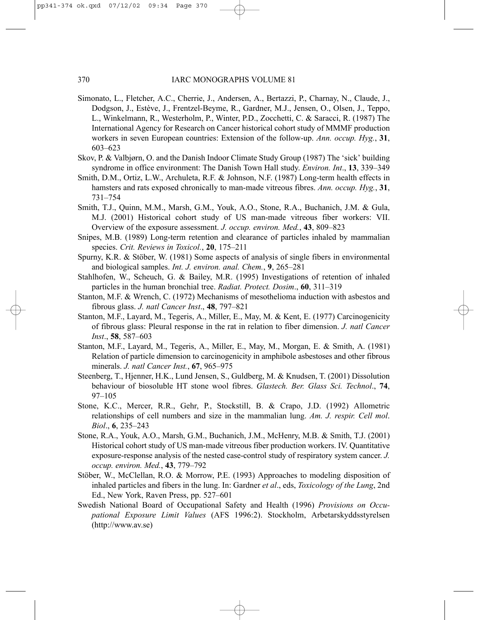- Simonato, L., Fletcher, A.C., Cherrie, J., Andersen, A., Bertazzi, P., Charnay, N., Claude, J., Dodgson, J., Estève, J., Frentzel-Beyme, R., Gardner, M.J., Jensen, O., Olsen, J., Teppo, L., Winkelmann, R., Westerholm, P., Winter, P.D., Zocchetti, C. & Saracci, R. (1987) The International Agency for Research on Cancer historical cohort study of MMMF production workers in seven European countries: Extension of the follow-up. *Ann. occup. Hyg.*, **31**, 603–623
- Skov, P. & Valbjørn, O. and the Danish Indoor Climate Study Group (1987) The 'sick' building syndrome in office environment: The Danish Town Hall study. *Environ. Int*., **13**, 339–349
- Smith, D.M., Ortiz, L.W., Archuleta, R.F. & Johnson, N.F. (1987) Long-term health effects in hamsters and rats exposed chronically to man-made vitreous fibres. *Ann. occup. Hyg.*, **31**, 731–754
- Smith, T.J., Quinn, M.M., Marsh, G.M., Youk, A.O., Stone, R.A., Buchanich, J.M. & Gula, M.J. (2001) Historical cohort study of US man-made vitreous fiber workers: VII. Overview of the exposure assessment. *J. occup. environ. Med.*, **43**, 809–823
- Snipes, M.B. (1989) Long-term retention and clearance of particles inhaled by mammalian species. *Crit. Reviews in Toxicol.*, **20**, 175–211
- Spurny, K.R. & Stöber, W. (1981) Some aspects of analysis of single fibers in environmental and biological samples. *Int. J. environ. anal. Chem.*, **9**, 265–281
- Stahlhofen, W., Scheuch, G. & Bailey, M.R. (1995) Investigations of retention of inhaled particles in the human bronchial tree. *Radiat. Protect. Dosim*., **60**, 311–319
- Stanton, M.F. & Wrench, C. (1972) Mechanisms of mesothelioma induction with asbestos and fibrous glass. *J. natl Cancer Inst*., **48**, 797–821
- Stanton, M.F., Layard, M., Tegeris, A., Miller, E., May, M. & Kent, E. (1977) Carcinogenicity of fibrous glass: Pleural response in the rat in relation to fiber dimension. *J. natl Cancer Inst*., **58**, 587–603
- Stanton, M.F., Layard, M., Tegeris, A., Miller, E., May, M., Morgan, E. & Smith, A. (1981) Relation of particle dimension to carcinogenicity in amphibole asbestoses and other fibrous minerals. *J. natl Cancer Inst.*, **67**, 965–975
- Steenberg, T., Hjenner, H.K., Lund Jensen, S., Guldberg, M. & Knudsen, T. (2001) Dissolution behaviour of biosoluble HT stone wool fibres. *Glastech. Ber. Glass Sci. Technol*., **74**, 97–105
- Stone, K.C., Mercer, R.R., Gehr, P., Stockstill, B. & Crapo, J.D. (1992) Allometric relationships of cell numbers and size in the mammalian lung. *Am. J. respir. Cell mol*. *Biol*., **6**, 235–243
- Stone, R.A., Youk, A.O., Marsh, G.M., Buchanich, J.M., McHenry, M.B. & Smith, T.J. (2001) Historical cohort study of US man-made vitreous fiber production workers. IV. Quantitative exposure-response analysis of the nested case-control study of respiratory system cancer. *J. occup. environ. Med.*, **43**, 779–792
- Stöber, W., McClellan, R.O. & Morrow, P.E. (1993) Approaches to modeling disposition of inhaled particles and fibers in the lung. In: Gardner *et al*., eds, *Toxicology of the Lung*, 2nd Ed., New York, Raven Press, pp. 527–601
- Swedish National Board of Occupational Safety and Health (1996) *Provisions on Occupational Exposure Limit Values* (AFS 1996:2). Stockholm, Arbetarskyddsstyrelsen (http://www.av.se)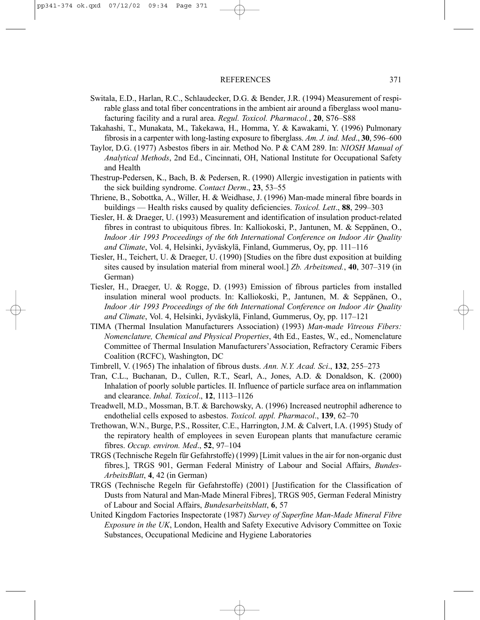- Switala, E.D., Harlan, R.C., Schlaudecker, D.G. & Bender, J.R. (1994) Measurement of respirable glass and total fiber concentrations in the ambient air around a fiberglass wool manufacturing facility and a rural area. *Regul. Toxicol. Pharmacol.*, **20**, S76–S88
- Takahashi, T., Munakata, M., Takekawa, H., Homma, Y. & Kawakami, Y. (1996) Pulmonary fibrosis in a carpenter with long-lasting exposure to fiberglass. *Am. J. ind. Med*., **30**, 596–600
- Taylor, D.G. (1977) Asbestos fibers in air. Method No. P & CAM 289. In: *NIOSH Manual of Analytical Methods*, 2nd Ed., Cincinnati, OH, National Institute for Occupational Safety and Health
- Thestrup-Pedersen, K., Bach, B. & Pedersen, R. (1990) Allergic investigation in patients with the sick building syndrome. *Contact Derm*., **23**, 53–55
- Thriene, B., Sobottka, A., Willer, H. & Weidhase, J. (1996) Man-made mineral fibre boards in buildings — Health risks caused by quality deficiencies. *Toxicol. Lett*., **88**, 299–303
- Tiesler, H. & Draeger, U. (1993) Measurement and identification of insulation product-related fibres in contrast to ubiquitous fibres. In: Kalliokoski, P., Jantunen, M. & Seppänen, O., *Indoor Air 1993 Proceedings of the 6th International Conference on Indoor Air Quality and Climate*, Vol. 4, Helsinki, Jyväskylä, Finland, Gummerus, Oy, pp. 111–116
- Tiesler, H., Teichert, U. & Draeger, U. (1990) [Studies on the fibre dust exposition at building sites caused by insulation material from mineral wool.] *Zb. Arbeitsmed.*, **40**, 307–319 (in German)
- Tiesler, H., Draeger, U. & Rogge, D. (1993) Emission of fibrous particles from installed insulation mineral wool products. In: Kalliokoski, P., Jantunen, M. & Seppänen, O., *Indoor Air 1993 Proceedings of the 6th International Conference on Indoor Air Quality and Climate*, Vol. 4, Helsinki, Jyväskylä, Finland, Gummerus, Oy, pp. 117–121
- TIMA (Thermal Insulation Manufacturers Association) (1993) *Man-made Vitreous Fibers: Nomenclature, Chemical and Physical Properties*, 4th Ed., Eastes, W., ed., Nomenclature Committee of Thermal Insulation Manufacturers'Association, Refractory Ceramic Fibers Coalition (RCFC), Washington, DC
- Timbrell, V. (1965) The inhalation of fibrous dusts. *Ann. N.Y. Acad. Sci*., **132**, 255–273
- Tran, C.L., Buchanan, D., Cullen, R.T., Searl, A., Jones, A.D. & Donaldson, K. (2000) Inhalation of poorly soluble particles. II. Influence of particle surface area on inflammation and clearance. *Inhal. Toxicol*., **12**, 1113–1126
- Treadwell, M.D., Mossman, B.T. & Barchowsky, A. (1996) Increased neutrophil adherence to endothelial cells exposed to asbestos. *Toxicol. appl. Pharmacol*., **139**, 62–70
- Trethowan, W.N., Burge, P.S., Rossiter, C.E., Harrington, J.M. & Calvert, I.A. (1995) Study of the repiratory health of employees in seven European plants that manufacture ceramic fibres. *Occup. environ. Med*., **52**, 97–104
- TRGS (Technische Regeln für Gefahrstoffe) (1999) [Limit values in the air for non-organic dust fibres.], TRGS 901, German Federal Ministry of Labour and Social Affairs, *Bundes-ArbeitsBlatt*, **4**, 42 (in German)
- TRGS (Technische Regeln für Gefahrstoffe) (2001) [Justification for the Classification of Dusts from Natural and Man-Made Mineral Fibres], TRGS 905, German Federal Ministry of Labour and Social Affairs, *Bundesarbeitsblatt*, **6**, 57
- United Kingdom Factories Inspectorate (1987) *Survey of Superfine Man-Made Mineral Fibre Exposure in the UK*, London, Health and Safety Executive Advisory Committee on Toxic Substances, Occupational Medicine and Hygiene Laboratories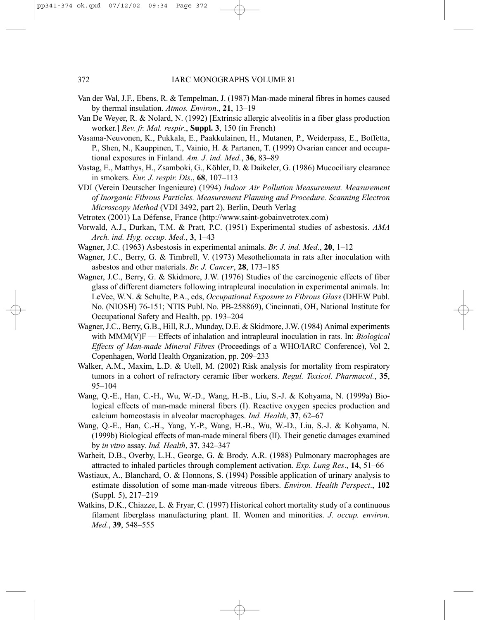- Van der Wal, J.F., Ebens, R. & Tempelman, J. (1987) Man-made mineral fibres in homes caused by thermal insulation. *Atmos. Environ*., **21**, 13–19
- Van De Weyer, R. & Nolard, N. (1992) [Extrinsic allergic alveolitis in a fiber glass production worker.] *Rev. fr. Mal. respir*., **Suppl. 3**, 150 (in French)
- Vasama-Neuvonen, K., Pukkala, E., Paakkulainen, H., Mutanen, P., Weiderpass, E., Boffetta, P., Shen, N., Kauppinen, T., Vainio, H. & Partanen, T. (1999) Ovarian cancer and occupational exposures in Finland. *Am. J. ind. Med.*, **36**, 83–89
- Vastag, E., Matthys, H., Zsamboki, G., Köhler, D. & Daikeler, G. (1986) Mucociliary clearance in smokers. *Eur. J. respir. Dis*., **68**, 107–113
- VDI (Verein Deutscher Ingenieure) (1994) *Indoor Air Pollution Measurement. Measurement of Inorganic Fibrous Particles. Measurement Planning and Procedure. Scanning Electron Microscopy Method* (VDI 3492, part 2), Berlin, Deuth Verlag
- Vetrotex (2001) La Défense, France (http://www.saint-gobainvetrotex.com)
- Vorwald, A.J., Durkan, T.M. & Pratt, P.C. (1951) Experimental studies of asbestosis. *AMA Arch. ind. Hyg. occup. Med.*, **3**, 1–43
- Wagner, J.C. (1963) Asbestosis in experimental animals. *Br. J. ind. Med*., **20**, 1–12
- Wagner, J.C., Berry, G. & Timbrell, V. (1973) Mesotheliomata in rats after inoculation with asbestos and other materials. *Br. J. Cancer*, **28**, 173–185
- Wagner, J.C., Berry, G. & Skidmore, J.W. (1976) Studies of the carcinogenic effects of fiber glass of different diameters following intrapleural inoculation in experimental animals. In: LeVee, W.N. & Schulte, P.A., eds, *Occupational Exposure to Fibrous Glass* (DHEW Publ. No. (NIOSH) 76-151; NTIS Publ. No. PB-258869), Cincinnati, OH, National Institute for Occupational Safety and Health, pp. 193–204
- Wagner, J.C., Berry, G.B., Hill, R.J., Munday, D.E. & Skidmore, J.W. (1984) Animal experiments with MMM(V)F — Effects of inhalation and intrapleural inoculation in rats. In: *Biological Effects of Man-made Mineral Fibres* (Proceedings of a WHO/IARC Conference), Vol 2, Copenhagen, World Health Organization, pp. 209–233
- Walker, A.M., Maxim, L.D. & Utell, M. (2002) Risk analysis for mortality from respiratory tumors in a cohort of refractory ceramic fiber workers. *Regul. Toxicol. Pharmacol.*, **35**, 95–104
- Wang, Q.-E., Han, C.-H., Wu, W.-D., Wang, H.-B., Liu, S.-J. & Kohyama, N. (1999a) Biological effects of man-made mineral fibers (I). Reactive oxygen species production and calcium homeostasis in alveolar macrophages. *Ind. Health*, **37**, 62–67
- Wang, Q.-E., Han, C.-H., Yang, Y.-P., Wang, H.-B., Wu, W.-D., Liu, S.-J. & Kohyama, N. (1999b) Biological effects of man-made mineral fibers (II). Their genetic damages examined by *in vitro* assay. *Ind. Health*, **37**, 342–347
- Warheit, D.B., Overby, L.H., George, G. & Brody, A.R. (1988) Pulmonary macrophages are attracted to inhaled particles through complement activation. *Exp. Lung Res*., **14**, 51–66
- Wastiaux, A., Blanchard, O. & Honnons, S. (1994) Possible application of urinary analysis to estimate dissolution of some man-made vitreous fibers. *Environ. Health Perspect*., **102** (Suppl. 5), 217–219
- Watkins, D.K., Chiazze, L. & Fryar, C. (1997) Historical cohort mortality study of a continuous filament fiberglass manufacturing plant. II. Women and minorities. *J. occup. environ. Med.*, **39**, 548–555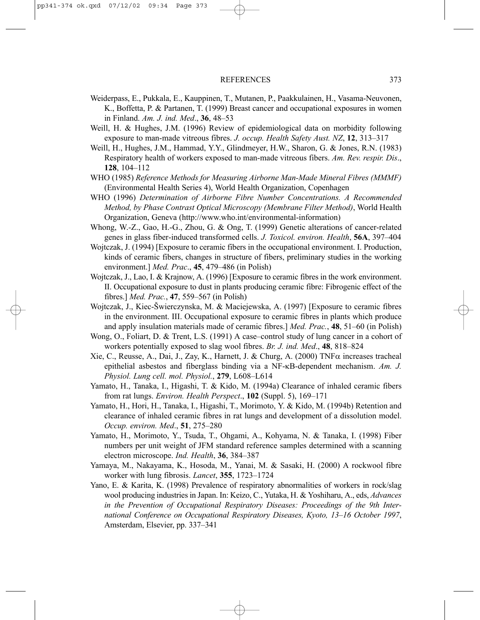- Weiderpass, E., Pukkala, E., Kauppinen, T., Mutanen, P., Paakkulainen, H., Vasama-Neuvonen, K., Boffetta, P. & Partanen, T. (1999) Breast cancer and occupational exposures in women in Finland. *Am. J. ind. Med*., **36**, 48–53
- Weill, H. & Hughes, J.M. (1996) Review of epidemiological data on morbidity following exposure to man-made vitreous fibres. *J. occup. Health Safety Aust. NZ*, **12**, 313–317
- Weill, H., Hughes, J.M., Hammad, Y.Y., Glindmeyer, H.W., Sharon, G. & Jones, R.N. (1983) Respiratory health of workers exposed to man-made vitreous fibers. *Am. Rev. respir. Dis*., **128**, 104–112
- WHO (1985) *Reference Methods for Measuring Airborne Man-Made Mineral Fibres (MMMF)* (Environmental Health Series 4), World Health Organization, Copenhagen
- WHO (1996) *Determination of Airborne Fibre Number Concentrations. A Recommended Method, by Phase Contrast Optical Microscopy (Membrane Filter Method)*, World Health Organization, Geneva (http://www.who.int/environmental-information)
- Whong, W.-Z., Gao, H.-G., Zhou, G. & Ong, T. (1999) Genetic alterations of cancer-related genes in glass fiber-induced transformed cells. *J. Toxicol. environ. Health*, **56A**, 397–404
- Wojtczak, J. (1994) [Exposure to ceramic fibers in the occupational environment. I. Production, kinds of ceramic fibers, changes in structure of fibers, preliminary studies in the working environment.] *Med. Prac*., **45**, 479–486 (in Polish)
- Wojtczak, J., Lao, I. & Krajnow, A. (1996) [Exposure to ceramic fibres in the work environment. II. Occupational exposure to dust in plants producing ceramic fibre: Fibrogenic effect of the fibres.] *Med. Prac.*, **47**, 559–567 (in Polish)
- Wojtczak, J., Kiec-Šwierczynska, M. & Maciejewska, A. (1997) [Exposure to ceramic fibres in the environment. III. Occupational exposure to ceramic fibres in plants which produce and apply insulation materials made of ceramic fibres.] *Med. Prac.*, **48**, 51–60 (in Polish)
- Wong, O., Foliart, D. & Trent, L.S. (1991) A case–control study of lung cancer in a cohort of workers potentially exposed to slag wool fibres. *Br. J. ind. Med*., **48**, 818–824
- Xie, C., Reusse, A., Dai, J., Zay, K., Harnett, J. & Churg, A. (2000) TNF $\alpha$  increases tracheal epithelial asbestos and fiberglass binding via a NF-κB-dependent mechanism. *Am. J. Physiol. Lung cell. mol. Physiol.*, **279**, L608–L614
- Yamato, H., Tanaka, I., Higashi, T. & Kido, M. (1994a) Clearance of inhaled ceramic fibers from rat lungs. *Environ. Health Perspect*., **102** (Suppl. 5), 169–171
- Yamato, H., Hori, H., Tanaka, I., Higashi, T., Morimoto, Y. & Kido, M. (1994b) Retention and clearance of inhaled ceramic fibres in rat lungs and development of a dissolution model. *Occup. environ. Med*., **51**, 275–280
- Yamato, H., Morimoto, Y., Tsuda, T., Ohgami, A., Kohyama, N. & Tanaka, I. (1998) Fiber numbers per unit weight of JFM standard reference samples determined with a scanning electron microscope. *Ind. Health*, **36**, 384–387
- Yamaya, M., Nakayama, K., Hosoda, M., Yanai, M. & Sasaki, H. (2000) A rockwool fibre worker with lung fibrosis. *Lancet*, **355**, 1723–1724
- Yano, E. & Karita, K. (1998) Prevalence of respiratory abnormalities of workers in rock/slag wool producing industries in Japan. In: Keizo, C., Yutaka, H. & Yoshiharu, A., eds, *Advances in the Prevention of Occupational Respiratory Diseases: Proceedings of the 9th International Conference on Occupational Respiratory Diseases, Kyoto, 13–16 October 1997*, Amsterdam, Elsevier, pp. 337–341